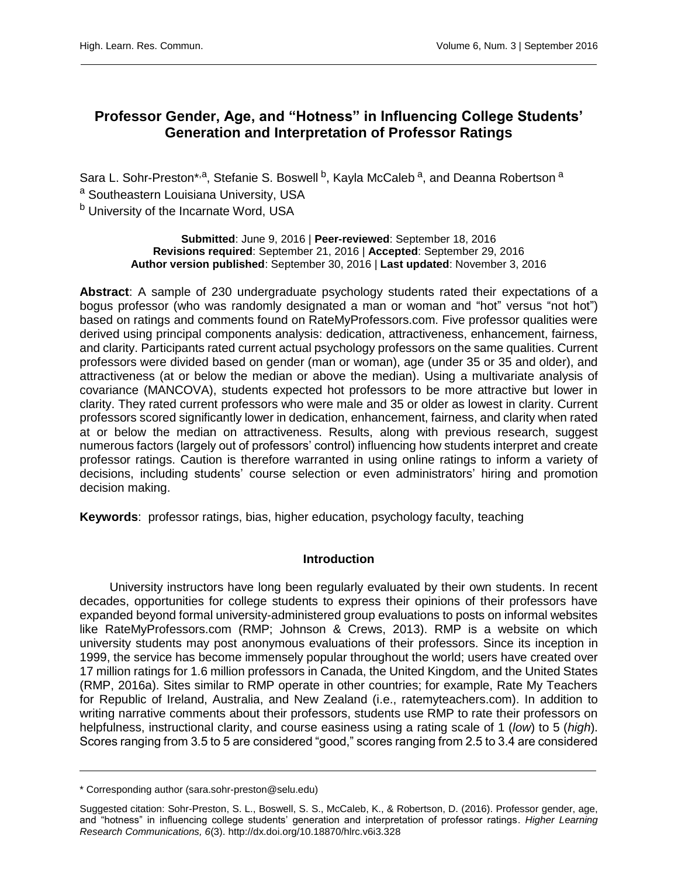# **Professor Gender, Age, and "Hotness" in Influencing College Students' Generation and Interpretation of Professor Ratings**

Sara L. Sohr-Preston\*<sup>,a</sup>, Stefanie S. Boswell <sup>b</sup>, Kayla McCaleb <sup>a</sup>, and Deanna Robertson <sup>a</sup> a Southeastern Louisiana University, USA b University of the Incarnate Word, USA

> **Submitted**: June 9, 2016 | **Peer-reviewed**: September 18, 2016 **Revisions required**: September 21, 2016 | **Accepted**: September 29, 2016 **Author version published**: September 30, 2016 | **Last updated**: November 3, 2016

**Abstract**: A sample of 230 undergraduate psychology students rated their expectations of a bogus professor (who was randomly designated a man or woman and "hot" versus "not hot") based on ratings and comments found on RateMyProfessors.com. Five professor qualities were derived using principal components analysis: dedication, attractiveness, enhancement, fairness, and clarity. Participants rated current actual psychology professors on the same qualities. Current professors were divided based on gender (man or woman), age (under 35 or 35 and older), and attractiveness (at or below the median or above the median). Using a multivariate analysis of covariance (MANCOVA), students expected hot professors to be more attractive but lower in clarity. They rated current professors who were male and 35 or older as lowest in clarity. Current professors scored significantly lower in dedication, enhancement, fairness, and clarity when rated at or below the median on attractiveness. Results, along with previous research, suggest numerous factors (largely out of professors' control) influencing how students interpret and create professor ratings. Caution is therefore warranted in using online ratings to inform a variety of decisions, including students' course selection or even administrators' hiring and promotion decision making.

**Keywords**: professor ratings, bias, higher education, psychology faculty, teaching

## **Introduction**

University instructors have long been regularly evaluated by their own students. In recent decades, opportunities for college students to express their opinions of their professors have expanded beyond formal university-administered group evaluations to posts on informal websites like RateMyProfessors.com (RMP; Johnson & Crews, 2013). RMP is a website on which university students may post anonymous evaluations of their professors. Since its inception in 1999, the service has become immensely popular throughout the world; users have created over 17 million ratings for 1.6 million professors in Canada, the United Kingdom, and the United States (RMP, 2016a). Sites similar to RMP operate in other countries; for example, Rate My Teachers for Republic of Ireland, Australia, and New Zealand (i.e., ratemyteachers.com). In addition to writing narrative comments about their professors, students use RMP to rate their professors on helpfulness, instructional clarity, and course easiness using a rating scale of 1 (*low*) to 5 (*high*). Scores ranging from 3.5 to 5 are considered "good," scores ranging from 2.5 to 3.4 are considered

<sup>\*</sup> Corresponding author (sara.sohr-preston@selu.edu)

Suggested citation: Sohr-Preston, S. L., Boswell, S. S., McCaleb, K., & Robertson, D. (2016). Professor gender, age, and "hotness" in influencing college students' generation and interpretation of professor ratings. *Higher Learning Research Communications, 6*(3). http://dx.doi.org/10.18870/hlrc.v6i3.328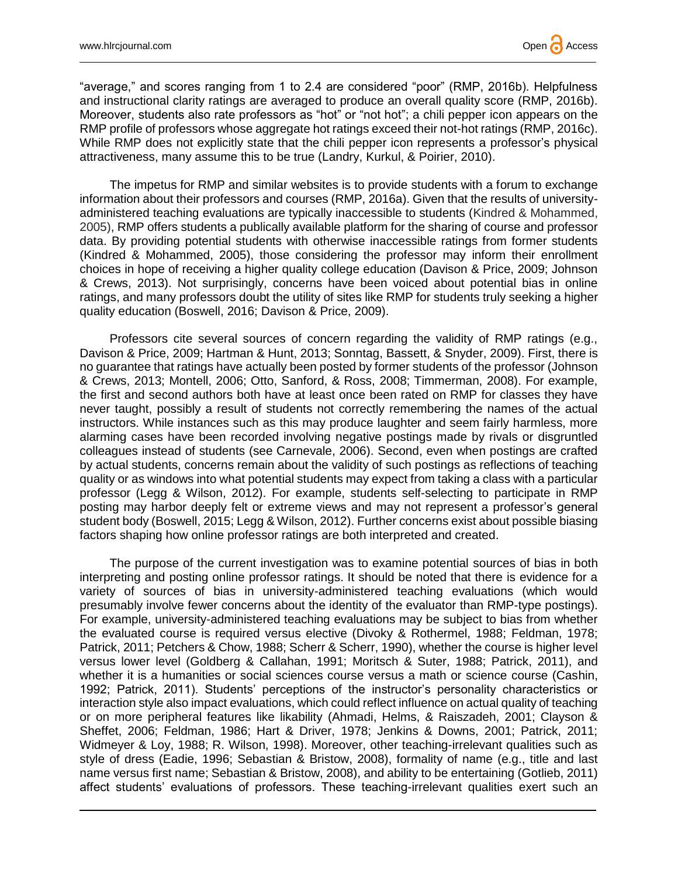"average," and scores ranging from 1 to 2.4 are considered "poor" (RMP, 2016b). Helpfulness and instructional clarity ratings are averaged to produce an overall quality score (RMP, 2016b). Moreover, students also rate professors as "hot" or "not hot"; a chili pepper icon appears on the RMP profile of professors whose aggregate hot ratings exceed their not-hot ratings (RMP, 2016c). While RMP does not explicitly state that the chili pepper icon represents a professor's physical attractiveness, many assume this to be true (Landry, Kurkul, & Poirier, 2010).

The impetus for RMP and similar websites is to provide students with a forum to exchange information about their professors and courses (RMP, 2016a). Given that the results of universityadministered teaching evaluations are typically inaccessible to students (Kindred & Mohammed, 2005), RMP offers students a publically available platform for the sharing of course and professor data. By providing potential students with otherwise inaccessible ratings from former students (Kindred & Mohammed, 2005), those considering the professor may inform their enrollment choices in hope of receiving a higher quality college education (Davison & Price, 2009; Johnson & Crews, 2013). Not surprisingly, concerns have been voiced about potential bias in online ratings, and many professors doubt the utility of sites like RMP for students truly seeking a higher quality education (Boswell, 2016; Davison & Price, 2009).

Professors cite several sources of concern regarding the validity of RMP ratings (e.g., Davison & Price, 2009; Hartman & Hunt, 2013; Sonntag, Bassett, & Snyder, 2009). First, there is no guarantee that ratings have actually been posted by former students of the professor (Johnson & Crews, 2013; Montell, 2006; Otto, Sanford, & Ross, 2008; Timmerman, 2008). For example, the first and second authors both have at least once been rated on RMP for classes they have never taught, possibly a result of students not correctly remembering the names of the actual instructors. While instances such as this may produce laughter and seem fairly harmless, more alarming cases have been recorded involving negative postings made by rivals or disgruntled colleagues instead of students (see Carnevale, 2006). Second, even when postings are crafted by actual students, concerns remain about the validity of such postings as reflections of teaching quality or as windows into what potential students may expect from taking a class with a particular professor (Legg & Wilson, 2012). For example, students self-selecting to participate in RMP posting may harbor deeply felt or extreme views and may not represent a professor's general student body (Boswell, 2015; Legg & Wilson, 2012). Further concerns exist about possible biasing factors shaping how online professor ratings are both interpreted and created.

The purpose of the current investigation was to examine potential sources of bias in both interpreting and posting online professor ratings. It should be noted that there is evidence for a variety of sources of bias in university-administered teaching evaluations (which would presumably involve fewer concerns about the identity of the evaluator than RMP-type postings). For example, university-administered teaching evaluations may be subject to bias from whether the evaluated course is required versus elective (Divoky & Rothermel, 1988; Feldman, 1978; Patrick, 2011; Petchers & Chow, 1988; Scherr & Scherr, 1990), whether the course is higher level versus lower level (Goldberg & Callahan, 1991; Moritsch & Suter, 1988; Patrick, 2011), and whether it is a humanities or social sciences course versus a math or science course (Cashin, 1992; Patrick, 2011). Students' perceptions of the instructor's personality characteristics or interaction style also impact evaluations, which could reflect influence on actual quality of teaching or on more peripheral features like likability (Ahmadi, Helms, & Raiszadeh, 2001; Clayson & Sheffet, 2006; Feldman, 1986; Hart & Driver, 1978; Jenkins & Downs, 2001; Patrick, 2011; Widmeyer & Loy, 1988; R. Wilson, 1998). Moreover, other teaching-irrelevant qualities such as style of dress (Eadie, 1996; Sebastian & Bristow, 2008), formality of name (e.g., title and last name versus first name; Sebastian & Bristow, 2008), and ability to be entertaining (Gotlieb, 2011) affect students' evaluations of professors. These teaching-irrelevant qualities exert such an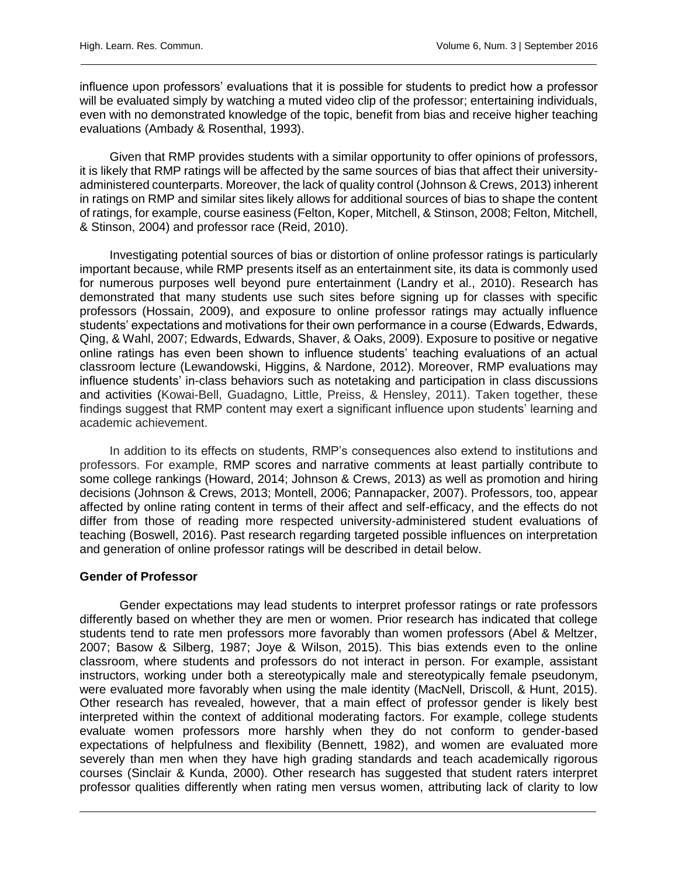influence upon professors' evaluations that it is possible for students to predict how a professor will be evaluated simply by watching a muted video clip of the professor; entertaining individuals, even with no demonstrated knowledge of the topic, benefit from bias and receive higher teaching evaluations (Ambady & Rosenthal, 1993).

Given that RMP provides students with a similar opportunity to offer opinions of professors, it is likely that RMP ratings will be affected by the same sources of bias that affect their universityadministered counterparts. Moreover, the lack of quality control (Johnson & Crews, 2013) inherent in ratings on RMP and similar sites likely allows for additional sources of bias to shape the content of ratings, for example, course easiness (Felton, Koper, Mitchell, & Stinson, 2008; Felton, Mitchell, & Stinson, 2004) and professor race (Reid, 2010).

Investigating potential sources of bias or distortion of online professor ratings is particularly important because, while RMP presents itself as an entertainment site, its data is commonly used for numerous purposes well beyond pure entertainment (Landry et al., 2010). Research has demonstrated that many students use such sites before signing up for classes with specific professors (Hossain, 2009), and exposure to online professor ratings may actually influence students' expectations and motivations for their own performance in a course (Edwards, Edwards, Qing, & Wahl, 2007; Edwards, Edwards, Shaver, & Oaks, 2009). Exposure to positive or negative online ratings has even been shown to influence students' teaching evaluations of an actual classroom lecture (Lewandowski, Higgins, & Nardone, 2012). Moreover, RMP evaluations may influence students' in-class behaviors such as notetaking and participation in class discussions and activities (Kowai-Bell, Guadagno, Little, Preiss, & Hensley, 2011). Taken together, these findings suggest that RMP content may exert a significant influence upon students' learning and academic achievement.

In addition to its effects on students, RMP's consequences also extend to institutions and professors. For example, RMP scores and narrative comments at least partially contribute to some college rankings (Howard, 2014; Johnson & Crews, 2013) as well as promotion and hiring decisions (Johnson & Crews, 2013; Montell, 2006; Pannapacker, 2007). Professors, too, appear affected by online rating content in terms of their affect and self-efficacy, and the effects do not differ from those of reading more respected university-administered student evaluations of teaching (Boswell, 2016). Past research regarding targeted possible influences on interpretation and generation of online professor ratings will be described in detail below.

#### **Gender of Professor**

Gender expectations may lead students to interpret professor ratings or rate professors differently based on whether they are men or women. Prior research has indicated that college students tend to rate men professors more favorably than women professors (Abel & Meltzer, 2007; Basow & Silberg, 1987; Joye & Wilson, 2015). This bias extends even to the online classroom, where students and professors do not interact in person. For example, assistant instructors, working under both a stereotypically male and stereotypically female pseudonym, were evaluated more favorably when using the male identity (MacNell, Driscoll, & Hunt, 2015). Other research has revealed, however, that a main effect of professor gender is likely best interpreted within the context of additional moderating factors. For example, college students evaluate women professors more harshly when they do not conform to gender-based expectations of helpfulness and flexibility (Bennett, 1982), and women are evaluated more severely than men when they have high grading standards and teach academically rigorous courses (Sinclair & Kunda, 2000). Other research has suggested that student raters interpret professor qualities differently when rating men versus women, attributing lack of clarity to low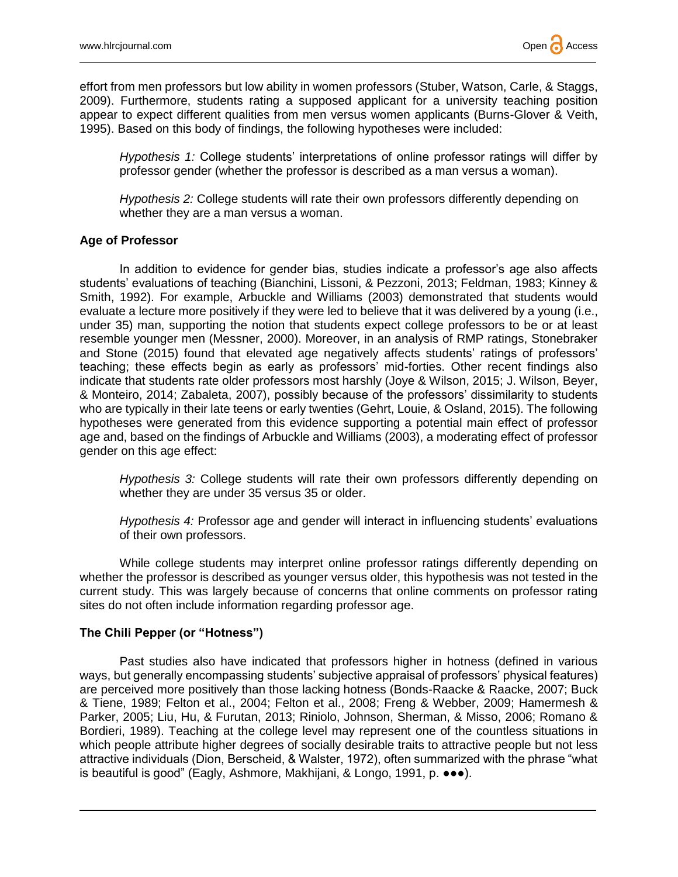effort from men professors but low ability in women professors (Stuber, Watson, Carle, & Staggs, 2009). Furthermore, students rating a supposed applicant for a university teaching position appear to expect different qualities from men versus women applicants (Burns-Glover & Veith, 1995). Based on this body of findings, the following hypotheses were included:

*Hypothesis 1:* College students' interpretations of online professor ratings will differ by professor gender (whether the professor is described as a man versus a woman).

*Hypothesis 2:* College students will rate their own professors differently depending on whether they are a man versus a woman.

### **Age of Professor**

In addition to evidence for gender bias, studies indicate a professor's age also affects students' evaluations of teaching (Bianchini, Lissoni, & Pezzoni, 2013; Feldman, 1983; Kinney & Smith, 1992). For example, Arbuckle and Williams (2003) demonstrated that students would evaluate a lecture more positively if they were led to believe that it was delivered by a young (i.e., under 35) man, supporting the notion that students expect college professors to be or at least resemble younger men (Messner, 2000). Moreover, in an analysis of RMP ratings, Stonebraker and Stone (2015) found that elevated age negatively affects students' ratings of professors' teaching; these effects begin as early as professors' mid-forties. Other recent findings also indicate that students rate older professors most harshly (Joye & Wilson, 2015; J. Wilson, Beyer, & Monteiro, 2014; Zabaleta, 2007), possibly because of the professors' dissimilarity to students who are typically in their late teens or early twenties (Gehrt, Louie, & Osland, 2015). The following hypotheses were generated from this evidence supporting a potential main effect of professor age and, based on the findings of Arbuckle and Williams (2003), a moderating effect of professor gender on this age effect:

*Hypothesis 3:* College students will rate their own professors differently depending on whether they are under 35 versus 35 or older.

*Hypothesis 4:* Professor age and gender will interact in influencing students' evaluations of their own professors.

While college students may interpret online professor ratings differently depending on whether the professor is described as younger versus older, this hypothesis was not tested in the current study. This was largely because of concerns that online comments on professor rating sites do not often include information regarding professor age.

## **The Chili Pepper (or "Hotness")**

Past studies also have indicated that professors higher in hotness (defined in various ways, but generally encompassing students' subjective appraisal of professors' physical features) are perceived more positively than those lacking hotness (Bonds-Raacke & Raacke, 2007; Buck & Tiene, 1989; Felton et al., 2004; Felton et al., 2008; Freng & Webber, 2009; Hamermesh & Parker, 2005; Liu, Hu, & Furutan, 2013; Riniolo, Johnson, Sherman, & Misso, 2006; Romano & Bordieri, 1989). Teaching at the college level may represent one of the countless situations in which people attribute higher degrees of socially desirable traits to attractive people but not less attractive individuals (Dion, Berscheid, & Walster, 1972), often summarized with the phrase "what is beautiful is good" (Eagly, Ashmore, Makhijani, & Longo, 1991, p. ●●●).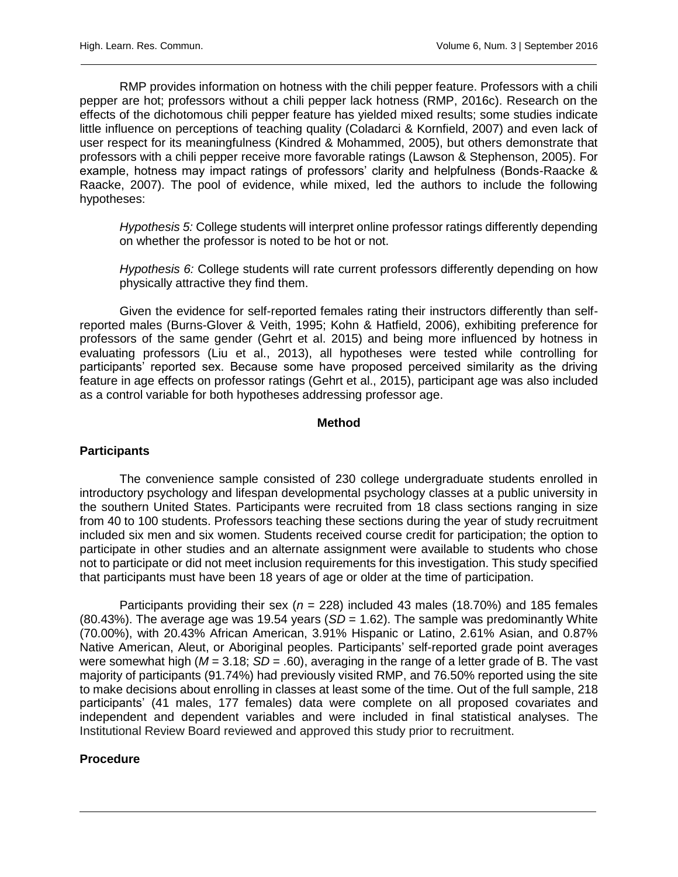RMP provides information on hotness with the chili pepper feature. Professors with a chili pepper are hot; professors without a chili pepper lack hotness (RMP, 2016c). Research on the effects of the dichotomous chili pepper feature has yielded mixed results; some studies indicate little influence on perceptions of teaching quality (Coladarci & Kornfield, 2007) and even lack of user respect for its meaningfulness (Kindred & Mohammed, 2005), but others demonstrate that professors with a chili pepper receive more favorable ratings (Lawson & Stephenson, 2005). For example, hotness may impact ratings of professors' clarity and helpfulness (Bonds-Raacke & Raacke, 2007). The pool of evidence, while mixed, led the authors to include the following hypotheses:

*Hypothesis 5:* College students will interpret online professor ratings differently depending on whether the professor is noted to be hot or not.

*Hypothesis 6:* College students will rate current professors differently depending on how physically attractive they find them.

Given the evidence for self-reported females rating their instructors differently than selfreported males (Burns-Glover & Veith, 1995; Kohn & Hatfield, 2006), exhibiting preference for professors of the same gender (Gehrt et al. 2015) and being more influenced by hotness in evaluating professors (Liu et al., 2013), all hypotheses were tested while controlling for participants' reported sex. Because some have proposed perceived similarity as the driving feature in age effects on professor ratings (Gehrt et al., 2015), participant age was also included as a control variable for both hypotheses addressing professor age.

#### **Method**

#### **Participants**

The convenience sample consisted of 230 college undergraduate students enrolled in introductory psychology and lifespan developmental psychology classes at a public university in the southern United States. Participants were recruited from 18 class sections ranging in size from 40 to 100 students. Professors teaching these sections during the year of study recruitment included six men and six women. Students received course credit for participation; the option to participate in other studies and an alternate assignment were available to students who chose not to participate or did not meet inclusion requirements for this investigation. This study specified that participants must have been 18 years of age or older at the time of participation.

Participants providing their sex (*n* = 228) included 43 males (18.70%) and 185 females  $(80.43\%)$ . The average age was 19.54 years  $(SD = 1.62)$ . The sample was predominantly White (70.00%), with 20.43% African American, 3.91% Hispanic or Latino, 2.61% Asian, and 0.87% Native American, Aleut, or Aboriginal peoples. Participants' self-reported grade point averages were somewhat high (*M* = 3.18; *SD* = .60), averaging in the range of a letter grade of B. The vast majority of participants (91.74%) had previously visited RMP, and 76.50% reported using the site to make decisions about enrolling in classes at least some of the time. Out of the full sample, 218 participants' (41 males, 177 females) data were complete on all proposed covariates and independent and dependent variables and were included in final statistical analyses. The Institutional Review Board reviewed and approved this study prior to recruitment.

#### **Procedure**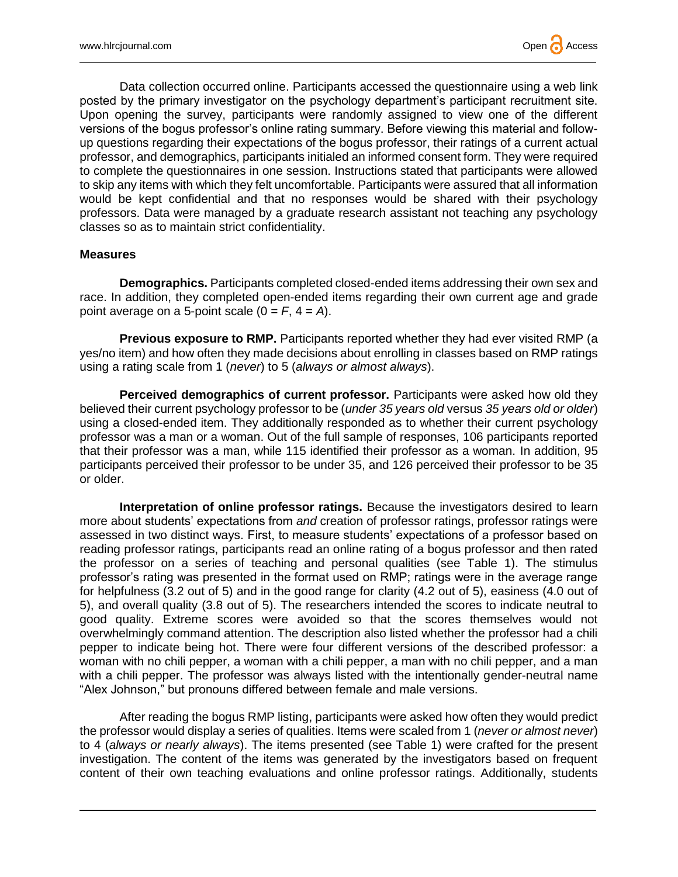Data collection occurred online. Participants accessed the questionnaire using a web link posted by the primary investigator on the psychology department's participant recruitment site. Upon opening the survey, participants were randomly assigned to view one of the different versions of the bogus professor's online rating summary. Before viewing this material and followup questions regarding their expectations of the bogus professor, their ratings of a current actual professor, and demographics, participants initialed an informed consent form. They were required to complete the questionnaires in one session. Instructions stated that participants were allowed to skip any items with which they felt uncomfortable. Participants were assured that all information would be kept confidential and that no responses would be shared with their psychology professors. Data were managed by a graduate research assistant not teaching any psychology classes so as to maintain strict confidentiality.

#### **Measures**

**Demographics.** Participants completed closed-ended items addressing their own sex and race. In addition, they completed open-ended items regarding their own current age and grade point average on a 5-point scale  $(0 = F, 4 = A)$ .

**Previous exposure to RMP.** Participants reported whether they had ever visited RMP (a yes/no item) and how often they made decisions about enrolling in classes based on RMP ratings using a rating scale from 1 (*never*) to 5 (*always or almost always*).

**Perceived demographics of current professor.** Participants were asked how old they believed their current psychology professor to be (*under 35 years old* versus *35 years old or older*) using a closed-ended item. They additionally responded as to whether their current psychology professor was a man or a woman. Out of the full sample of responses, 106 participants reported that their professor was a man, while 115 identified their professor as a woman. In addition, 95 participants perceived their professor to be under 35, and 126 perceived their professor to be 35 or older.

**Interpretation of online professor ratings.** Because the investigators desired to learn more about students' expectations from *and* creation of professor ratings, professor ratings were assessed in two distinct ways. First, to measure students' expectations of a professor based on reading professor ratings, participants read an online rating of a bogus professor and then rated the professor on a series of teaching and personal qualities (see Table 1). The stimulus professor's rating was presented in the format used on RMP; ratings were in the average range for helpfulness (3.2 out of 5) and in the good range for clarity (4.2 out of 5), easiness (4.0 out of 5), and overall quality (3.8 out of 5). The researchers intended the scores to indicate neutral to good quality. Extreme scores were avoided so that the scores themselves would not overwhelmingly command attention. The description also listed whether the professor had a chili pepper to indicate being hot. There were four different versions of the described professor: a woman with no chili pepper, a woman with a chili pepper, a man with no chili pepper, and a man with a chili pepper. The professor was always listed with the intentionally gender-neutral name "Alex Johnson," but pronouns differed between female and male versions.

After reading the bogus RMP listing, participants were asked how often they would predict the professor would display a series of qualities. Items were scaled from 1 (*never or almost never*) to 4 (*always or nearly always*). The items presented (see Table 1) were crafted for the present investigation. The content of the items was generated by the investigators based on frequent content of their own teaching evaluations and online professor ratings. Additionally, students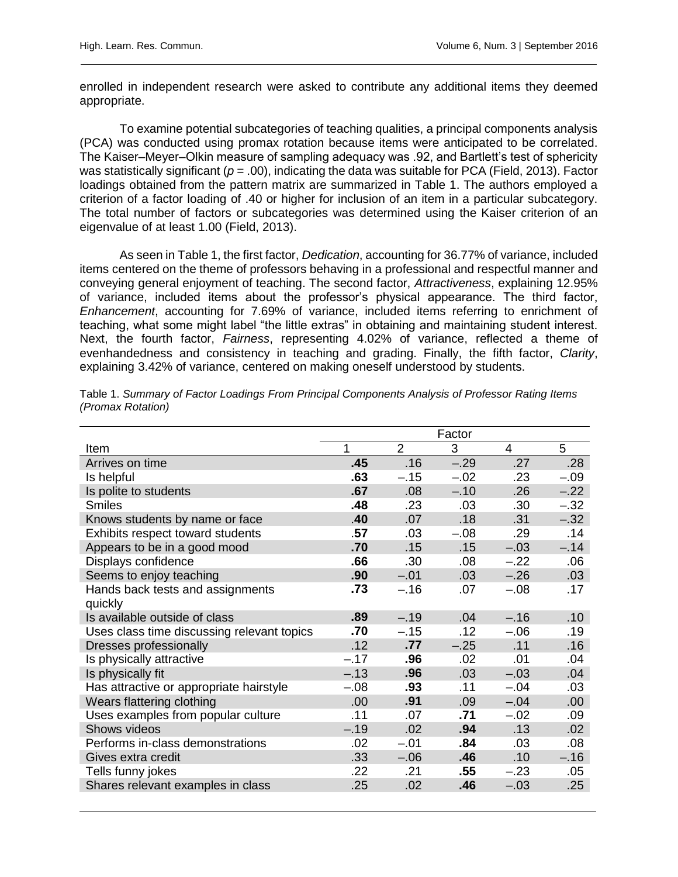enrolled in independent research were asked to contribute any additional items they deemed appropriate.

To examine potential subcategories of teaching qualities, a principal components analysis (PCA) was conducted using promax rotation because items were anticipated to be correlated. The Kaiser–Meyer–Olkin measure of sampling adequacy was .92, and Bartlett's test of sphericity was statistically significant ( $p = .00$ ), indicating the data was suitable for PCA (Field, 2013). Factor loadings obtained from the pattern matrix are summarized in Table 1. The authors employed a criterion of a factor loading of .40 or higher for inclusion of an item in a particular subcategory. The total number of factors or subcategories was determined using the Kaiser criterion of an eigenvalue of at least 1.00 (Field, 2013).

As seen in Table 1, the first factor, *Dedication*, accounting for 36.77% of variance, included items centered on the theme of professors behaving in a professional and respectful manner and conveying general enjoyment of teaching. The second factor, *Attractiveness*, explaining 12.95% of variance, included items about the professor's physical appearance. The third factor, *Enhancement*, accounting for 7.69% of variance, included items referring to enrichment of teaching, what some might label "the little extras" in obtaining and maintaining student interest. Next, the fourth factor, *Fairness*, representing 4.02% of variance, reflected a theme of evenhandedness and consistency in teaching and grading. Finally, the fifth factor, *Clarity*, explaining 3.42% of variance, centered on making oneself understood by students.

|                                            | Factor |                |        |                |        |
|--------------------------------------------|--------|----------------|--------|----------------|--------|
| Item                                       | 1      | $\overline{2}$ | 3      | $\overline{4}$ | 5      |
| Arrives on time                            | .45    | .16            | $-.29$ | .27            | .28    |
| Is helpful                                 | .63    | $-.15$         | $-.02$ | .23            | $-.09$ |
| Is polite to students                      | .67    | .08            | $-.10$ | .26            | $-.22$ |
| <b>Smiles</b>                              | .48    | .23            | .03    | .30            | $-.32$ |
| Knows students by name or face             | .40    | .07            | .18    | .31            | $-.32$ |
| Exhibits respect toward students           | .57    | .03            | $-.08$ | .29            | .14    |
| Appears to be in a good mood               | .70    | .15            | .15    | $-.03$         | $-.14$ |
| Displays confidence                        | .66    | .30            | .08    | $-.22$         | .06    |
| Seems to enjoy teaching                    | .90    | $-.01$         | .03    | $-.26$         | .03    |
| Hands back tests and assignments           | .73    | $-.16$         | .07    | $-.08$         | .17    |
| quickly                                    |        |                |        |                |        |
| Is available outside of class              | .89    | $-.19$         | .04    | $-.16$         | .10    |
| Uses class time discussing relevant topics | .70    | $-.15$         | .12    | $-.06$         | .19    |
| Dresses professionally                     | .12    | .77            | $-.25$ | .11            | .16    |
| Is physically attractive                   | $-.17$ | .96            | .02    | .01            | .04    |
| Is physically fit                          | $-.13$ | .96            | .03    | $-.03$         | .04    |
| Has attractive or appropriate hairstyle    | $-.08$ | .93            | .11    | $-.04$         | .03    |
| Wears flattering clothing                  | .00    | .91            | .09    | $-.04$         | .00    |
| Uses examples from popular culture         | .11    | .07            | .71    | $-.02$         | .09    |
| Shows videos                               | $-.19$ | .02            | .94    | .13            | .02    |
| Performs in-class demonstrations           | .02    | $-.01$         | .84    | .03            | .08    |
| Gives extra credit                         | .33    | $-0.06$        | .46    | .10            | $-.16$ |
| Tells funny jokes                          | .22    | .21            | .55    | $-.23$         | .05    |
| Shares relevant examples in class          | .25    | .02            | .46    | $-.03$         | .25    |
|                                            |        |                |        |                |        |

Table 1. *Summary of Factor Loadings From Principal Components Analysis of Professor Rating Items (Promax Rotation)*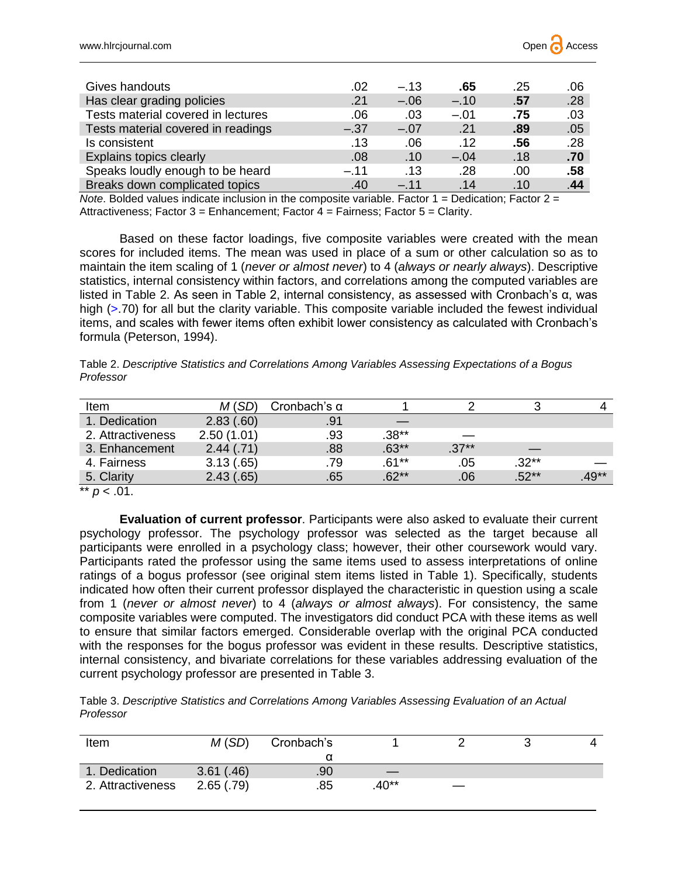| Gives handouts                     | .02    | $-.13$ | .65    | .25  | .06 |
|------------------------------------|--------|--------|--------|------|-----|
| Has clear grading policies         | .21    | $-.06$ | $-.10$ | .57  | .28 |
| Tests material covered in lectures | .06    | .03    | $-.01$ | .75  | .03 |
| Tests material covered in readings | $-.37$ | $-.07$ | .21    | .89  | .05 |
| Is consistent                      | .13    | .06    | .12    | .56  | .28 |
| Explains topics clearly            | .08    | .10    | $-.04$ | .18  | .70 |
| Speaks loudly enough to be heard   | $-.11$ | .13    | .28    | .00. | .58 |
| Breaks down complicated topics     | .40    | $-.11$ | .14    | .10  | .44 |

*Note*. Bolded values indicate inclusion in the composite variable. Factor 1 = Dedication; Factor 2 = Attractiveness; Factor 3 = Enhancement; Factor 4 = Fairness; Factor 5 = Clarity.

Based on these factor loadings, five composite variables were created with the mean scores for included items. The mean was used in place of a sum or other calculation so as to maintain the item scaling of 1 (*never or almost never*) to 4 (*always or nearly always*). Descriptive statistics, internal consistency within factors, and correlations among the computed variables are listed in Table 2. As seen in Table 2, internal consistency, as assessed with Cronbach's α, was high (>.70) for all but the clarity variable. This composite variable included the fewest individual items, and scales with fewer items often exhibit lower consistency as calculated with Cronbach's formula (Peterson, 1994).

Table 2. *Descriptive Statistics and Correlations Among Variables Assessing Expectations of a Bogus Professor*

| Item              |            | Cronbach's $\alpha$ |          |         |         |         |
|-------------------|------------|---------------------|----------|---------|---------|---------|
| 1. Dedication     | 2.83(.60)  | .91                 |          |         |         |         |
| 2. Attractiveness | 2.50(1.01) | .93                 | $.38**$  |         |         |         |
| 3. Enhancement    | 2.44(.71)  | .88                 | $.63**$  | $.37**$ |         |         |
| 4. Fairness       | 3.13(.65)  | .79                 | $.61***$ | .05     | $.32**$ |         |
| 5. Clarity        | 2.43(.65)  | .65                 | $.62**$  | .06     | $.52**$ | $.49**$ |

\*\*  $p < .01$ .

**Evaluation of current professor**. Participants were also asked to evaluate their current psychology professor. The psychology professor was selected as the target because all participants were enrolled in a psychology class; however, their other coursework would vary. Participants rated the professor using the same items used to assess interpretations of online ratings of a bogus professor (see original stem items listed in Table 1). Specifically, students indicated how often their current professor displayed the characteristic in question using a scale from 1 (*never or almost never*) to 4 (*always or almost always*). For consistency, the same composite variables were computed. The investigators did conduct PCA with these items as well to ensure that similar factors emerged. Considerable overlap with the original PCA conducted with the responses for the bogus professor was evident in these results. Descriptive statistics, internal consistency, and bivariate correlations for these variables addressing evaluation of the current psychology professor are presented in Table 3.

Table 3. *Descriptive Statistics and Correlations Among Variables Assessing Evaluation of an Actual Professor*

| Item              | M(SD)     | Cronbach's |         |                   |  |
|-------------------|-----------|------------|---------|-------------------|--|
|                   |           |            |         |                   |  |
| 1. Dedication     | 3.61(.46) | .90        |         |                   |  |
| 2. Attractiveness | 2.65(.79) | .85        | $.40**$ | $\hspace{0.05cm}$ |  |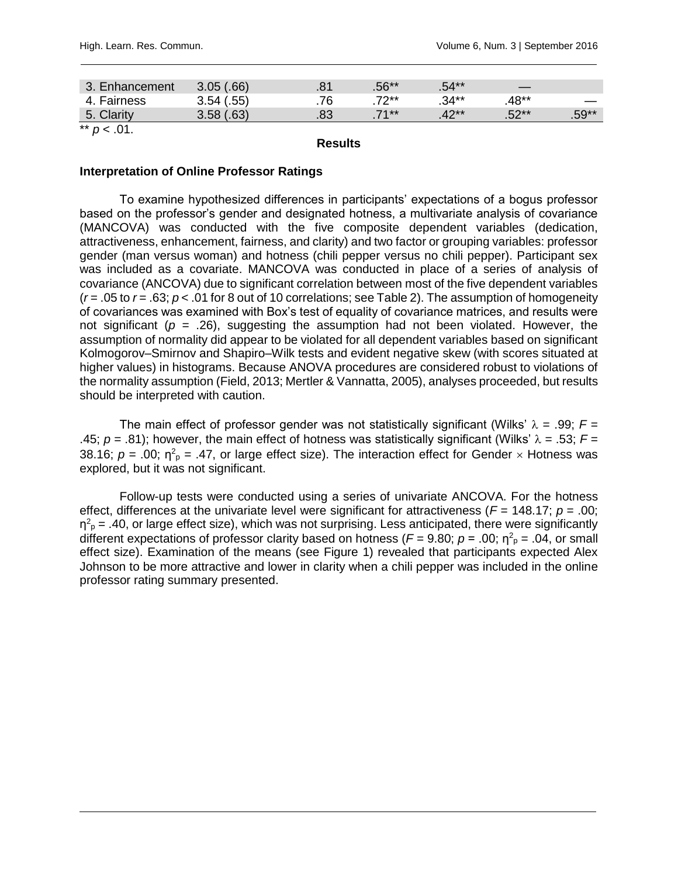| l. Enhancement | 3.05(.66)  |    | $.56**$ | $.54**$  |         |         |
|----------------|------------|----|---------|----------|---------|---------|
| Fairness       | 3.54(.55)  | 76 | 7つ**    | $.34***$ | .48**   |         |
| 5<br>J. Uldill | $3.58(63)$ |    | $71**$  | $42**$   | $.52**$ | $.59**$ |

 $*$  *p* < .01.

**Results**

#### **Interpretation of Online Professor Ratings**

To examine hypothesized differences in participants' expectations of a bogus professor based on the professor's gender and designated hotness, a multivariate analysis of covariance (MANCOVA) was conducted with the five composite dependent variables (dedication, attractiveness, enhancement, fairness, and clarity) and two factor or grouping variables: professor gender (man versus woman) and hotness (chili pepper versus no chili pepper). Participant sex was included as a covariate. MANCOVA was conducted in place of a series of analysis of covariance (ANCOVA) due to significant correlation between most of the five dependent variables (*r* = .05 to *r* = .63; *p* < .01 for 8 out of 10 correlations; see Table 2). The assumption of homogeneity of covariances was examined with Box's test of equality of covariance matrices, and results were not significant ( $p = .26$ ), suggesting the assumption had not been violated. However, the assumption of normality did appear to be violated for all dependent variables based on significant Kolmogorov–Smirnov and Shapiro–Wilk tests and evident negative skew (with scores situated at higher values) in histograms. Because ANOVA procedures are considered robust to violations of the normality assumption (Field, 2013; Mertler & Vannatta, 2005), analyses proceeded, but results should be interpreted with caution.

The main effect of professor gender was not statistically significant (Wilks'  $\lambda = .99$ ;  $F =$ .45;  $p = .81$ ); however, the main effect of hotness was statistically significant (Wilks'  $\lambda = .53$ ;  $F =$ 38.16;  $p = 0.00$ ;  $\eta^2$ <sub>p</sub> = .47, or large effect size). The interaction effect for Gender  $\times$  Hotness was explored, but it was not significant.

Follow-up tests were conducted using a series of univariate ANCOVA. For the hotness effect, differences at the univariate level were significant for attractiveness (*F* = 148.17; *p* = .00;  $\eta^2$ <sub>p</sub> = .40, or large effect size), which was not surprising. Less anticipated, there were significantly different expectations of professor clarity based on hotness ( $F = 9.80$ ;  $p = .00$ ;  $\eta^2{}_{p} = .04$ , or small effect size). Examination of the means (see Figure 1) revealed that participants expected Alex Johnson to be more attractive and lower in clarity when a chili pepper was included in the online professor rating summary presented.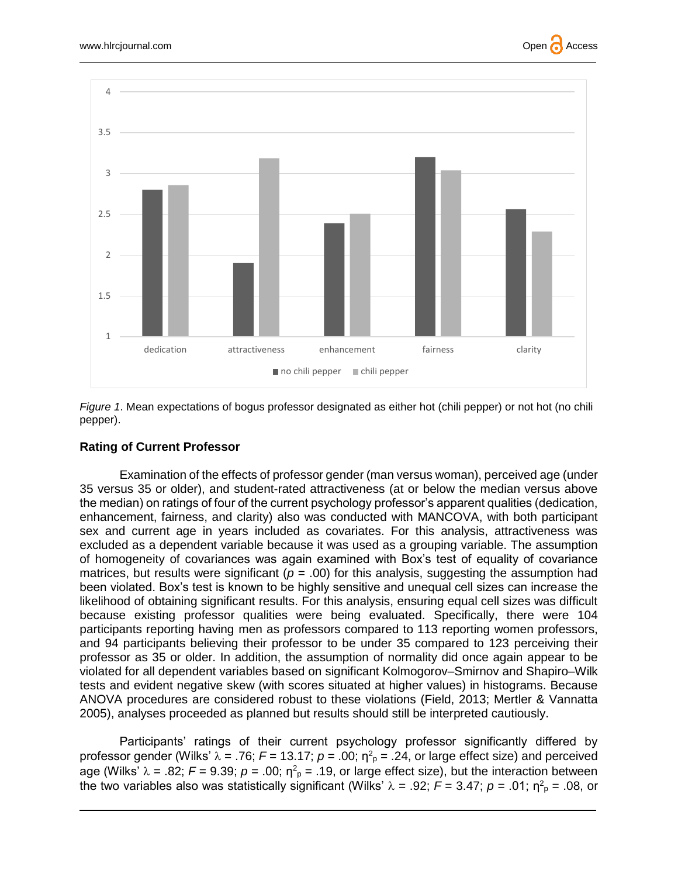





#### **Rating of Current Professor**

Examination of the effects of professor gender (man versus woman), perceived age (under 35 versus 35 or older), and student-rated attractiveness (at or below the median versus above the median) on ratings of four of the current psychology professor's apparent qualities (dedication, enhancement, fairness, and clarity) also was conducted with MANCOVA, with both participant sex and current age in years included as covariates. For this analysis, attractiveness was excluded as a dependent variable because it was used as a grouping variable. The assumption of homogeneity of covariances was again examined with Box's test of equality of covariance matrices, but results were significant ( $p = .00$ ) for this analysis, suggesting the assumption had been violated. Box's test is known to be highly sensitive and unequal cell sizes can increase the likelihood of obtaining significant results. For this analysis, ensuring equal cell sizes was difficult because existing professor qualities were being evaluated. Specifically, there were 104 participants reporting having men as professors compared to 113 reporting women professors, and 94 participants believing their professor to be under 35 compared to 123 perceiving their professor as 35 or older. In addition, the assumption of normality did once again appear to be violated for all dependent variables based on significant Kolmogorov–Smirnov and Shapiro–Wilk tests and evident negative skew (with scores situated at higher values) in histograms. Because ANOVA procedures are considered robust to these violations (Field, 2013; Mertler & Vannatta 2005), analyses proceeded as planned but results should still be interpreted cautiously.

Participants' ratings of their current psychology professor significantly differed by professor gender (Wilks'  $\lambda = .76$ ;  $F = 13.17$ ;  $p = .00$ ;  $\eta^2$ <sub>p</sub> = .24, or large effect size) and perceived age (Wilks'  $\lambda = .82$ ;  $F = 9.39$ ;  $p = .00$ ;  $\eta^2$ <sub>p</sub> = .19, or large effect size), but the interaction between the two variables also was statistically significant (Wilks' λ = .92; *F* = 3.47; *p* = .01; η<sup>2</sup><sub>p</sub> = .08, or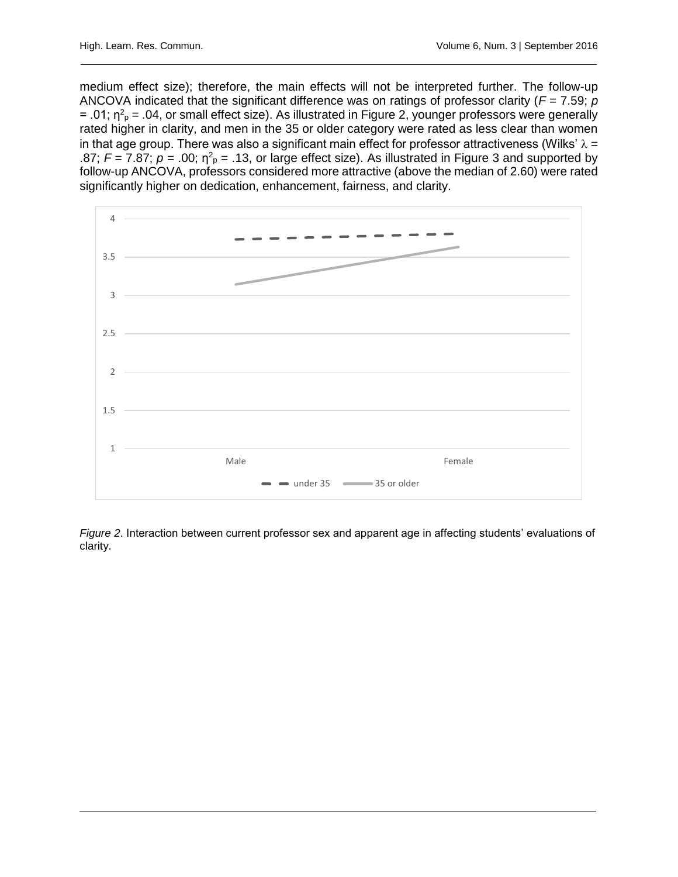medium effect size); therefore, the main effects will not be interpreted further. The follow-up ANCOVA indicated that the significant difference was on ratings of professor clarity (*F* = 7.59; *p* = .01;  $\eta^2$ <sub>P</sub> = .04, or small effect size). As illustrated in Figure 2, younger professors were generally rated higher in clarity, and men in the 35 or older category were rated as less clear than women in that age group. There was also a significant main effect for professor attractiveness (Wilks'  $\lambda =$ .87;  $F = 7.87$ ;  $p = .00$ ;  $\eta^2$ <sub>p</sub> = .13, or large effect size). As illustrated in Figure 3 and supported by follow-up ANCOVA, professors considered more attractive (above the median of 2.60) were rated significantly higher on dedication, enhancement, fairness, and clarity.



*Figure 2*. Interaction between current professor sex and apparent age in affecting students' evaluations of clarity.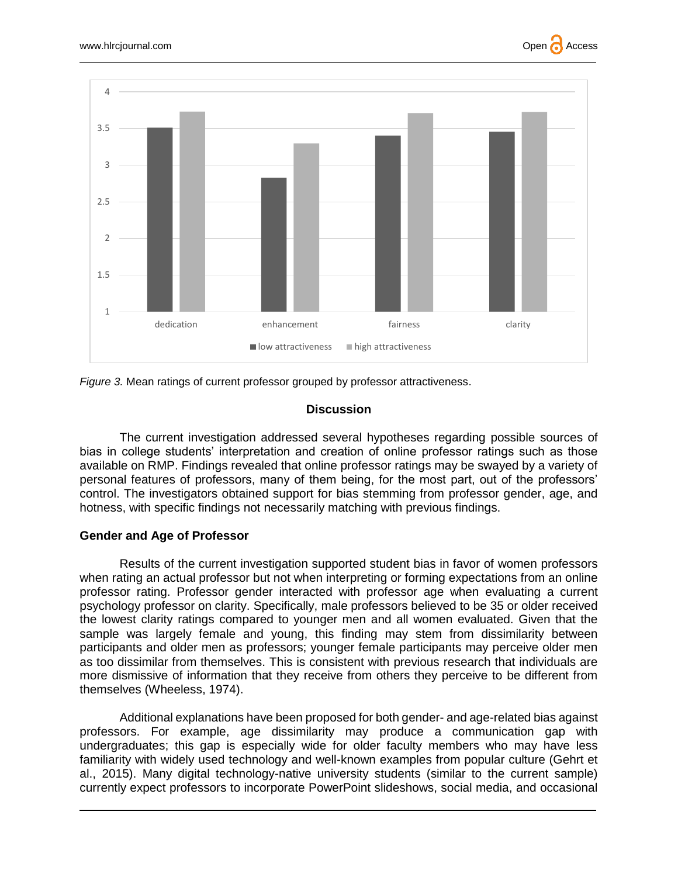





#### **Discussion**

The current investigation addressed several hypotheses regarding possible sources of bias in college students' interpretation and creation of online professor ratings such as those available on RMP. Findings revealed that online professor ratings may be swayed by a variety of personal features of professors, many of them being, for the most part, out of the professors' control. The investigators obtained support for bias stemming from professor gender, age, and hotness, with specific findings not necessarily matching with previous findings.

#### **Gender and Age of Professor**

Results of the current investigation supported student bias in favor of women professors when rating an actual professor but not when interpreting or forming expectations from an online professor rating. Professor gender interacted with professor age when evaluating a current psychology professor on clarity. Specifically, male professors believed to be 35 or older received the lowest clarity ratings compared to younger men and all women evaluated. Given that the sample was largely female and young, this finding may stem from dissimilarity between participants and older men as professors; younger female participants may perceive older men as too dissimilar from themselves. This is consistent with previous research that individuals are more dismissive of information that they receive from others they perceive to be different from themselves (Wheeless, 1974).

Additional explanations have been proposed for both gender- and age-related bias against professors. For example, age dissimilarity may produce a communication gap with undergraduates; this gap is especially wide for older faculty members who may have less familiarity with widely used technology and well-known examples from popular culture (Gehrt et al., 2015). Many digital technology-native university students (similar to the current sample) currently expect professors to incorporate PowerPoint slideshows, social media, and occasional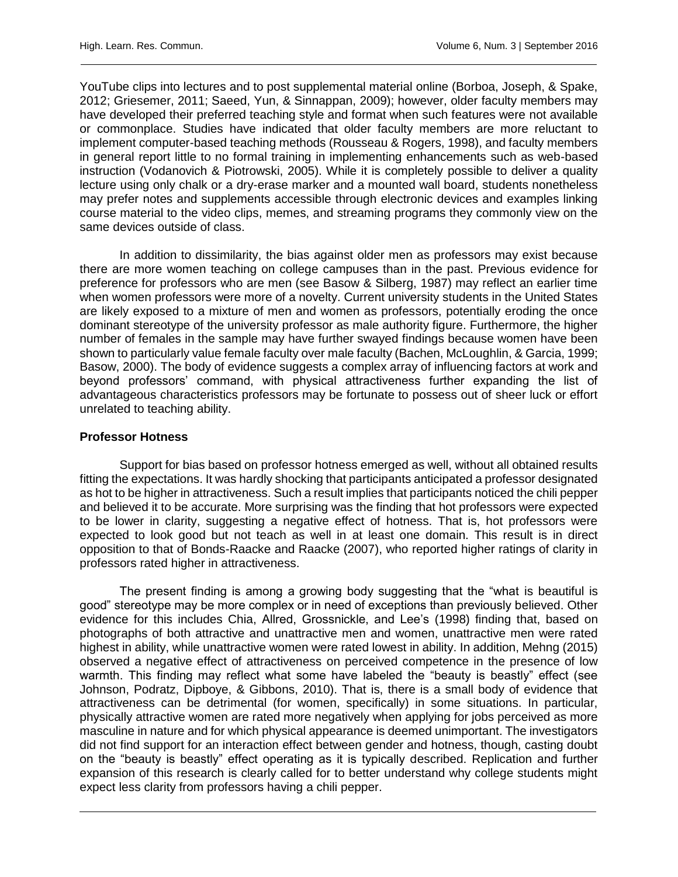YouTube clips into lectures and to post supplemental material online (Borboa, Joseph, & Spake, 2012; Griesemer, 2011; Saeed, Yun, & Sinnappan, 2009); however, older faculty members may have developed their preferred teaching style and format when such features were not available or commonplace. Studies have indicated that older faculty members are more reluctant to implement computer-based teaching methods (Rousseau & Rogers, 1998), and faculty members in general report little to no formal training in implementing enhancements such as web-based instruction (Vodanovich & Piotrowski, 2005). While it is completely possible to deliver a quality lecture using only chalk or a dry-erase marker and a mounted wall board, students nonetheless may prefer notes and supplements accessible through electronic devices and examples linking course material to the video clips, memes, and streaming programs they commonly view on the same devices outside of class.

In addition to dissimilarity, the bias against older men as professors may exist because there are more women teaching on college campuses than in the past. Previous evidence for preference for professors who are men (see Basow & Silberg, 1987) may reflect an earlier time when women professors were more of a novelty. Current university students in the United States are likely exposed to a mixture of men and women as professors, potentially eroding the once dominant stereotype of the university professor as male authority figure. Furthermore, the higher number of females in the sample may have further swayed findings because women have been shown to particularly value female faculty over male faculty (Bachen, McLoughlin, & Garcia, 1999; Basow, 2000). The body of evidence suggests a complex array of influencing factors at work and beyond professors' command, with physical attractiveness further expanding the list of advantageous characteristics professors may be fortunate to possess out of sheer luck or effort unrelated to teaching ability.

#### **Professor Hotness**

Support for bias based on professor hotness emerged as well, without all obtained results fitting the expectations. It was hardly shocking that participants anticipated a professor designated as hot to be higher in attractiveness. Such a result implies that participants noticed the chili pepper and believed it to be accurate. More surprising was the finding that hot professors were expected to be lower in clarity, suggesting a negative effect of hotness. That is, hot professors were expected to look good but not teach as well in at least one domain. This result is in direct opposition to that of Bonds-Raacke and Raacke (2007), who reported higher ratings of clarity in professors rated higher in attractiveness.

The present finding is among a growing body suggesting that the "what is beautiful is good" stereotype may be more complex or in need of exceptions than previously believed. Other evidence for this includes Chia, Allred, Grossnickle, and Lee's (1998) finding that, based on photographs of both attractive and unattractive men and women, unattractive men were rated highest in ability, while unattractive women were rated lowest in ability. In addition, Mehng (2015) observed a negative effect of attractiveness on perceived competence in the presence of low warmth. This finding may reflect what some have labeled the "beauty is beastly" effect (see Johnson, Podratz, Dipboye, & Gibbons, 2010). That is, there is a small body of evidence that attractiveness can be detrimental (for women, specifically) in some situations. In particular, physically attractive women are rated more negatively when applying for jobs perceived as more masculine in nature and for which physical appearance is deemed unimportant. The investigators did not find support for an interaction effect between gender and hotness, though, casting doubt on the "beauty is beastly" effect operating as it is typically described. Replication and further expansion of this research is clearly called for to better understand why college students might expect less clarity from professors having a chili pepper.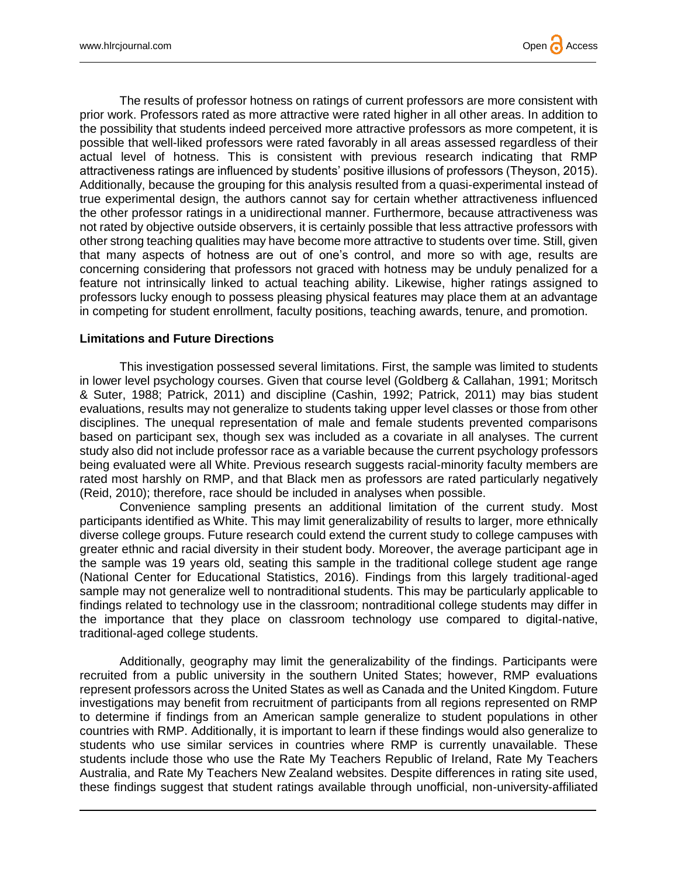The results of professor hotness on ratings of current professors are more consistent with prior work. Professors rated as more attractive were rated higher in all other areas. In addition to the possibility that students indeed perceived more attractive professors as more competent, it is possible that well-liked professors were rated favorably in all areas assessed regardless of their actual level of hotness. This is consistent with previous research indicating that RMP attractiveness ratings are influenced by students' positive illusions of professors (Theyson, 2015). Additionally, because the grouping for this analysis resulted from a quasi-experimental instead of true experimental design, the authors cannot say for certain whether attractiveness influenced the other professor ratings in a unidirectional manner. Furthermore, because attractiveness was not rated by objective outside observers, it is certainly possible that less attractive professors with other strong teaching qualities may have become more attractive to students over time. Still, given that many aspects of hotness are out of one's control, and more so with age, results are concerning considering that professors not graced with hotness may be unduly penalized for a feature not intrinsically linked to actual teaching ability. Likewise, higher ratings assigned to professors lucky enough to possess pleasing physical features may place them at an advantage in competing for student enrollment, faculty positions, teaching awards, tenure, and promotion.

#### **Limitations and Future Directions**

This investigation possessed several limitations. First, the sample was limited to students in lower level psychology courses. Given that course level (Goldberg & Callahan, 1991; Moritsch & Suter, 1988; Patrick, 2011) and discipline (Cashin, 1992; Patrick, 2011) may bias student evaluations, results may not generalize to students taking upper level classes or those from other disciplines. The unequal representation of male and female students prevented comparisons based on participant sex, though sex was included as a covariate in all analyses. The current study also did not include professor race as a variable because the current psychology professors being evaluated were all White. Previous research suggests racial-minority faculty members are rated most harshly on RMP, and that Black men as professors are rated particularly negatively (Reid, 2010); therefore, race should be included in analyses when possible.

Convenience sampling presents an additional limitation of the current study. Most participants identified as White. This may limit generalizability of results to larger, more ethnically diverse college groups. Future research could extend the current study to college campuses with greater ethnic and racial diversity in their student body. Moreover, the average participant age in the sample was 19 years old, seating this sample in the traditional college student age range (National Center for Educational Statistics, 2016). Findings from this largely traditional-aged sample may not generalize well to nontraditional students. This may be particularly applicable to findings related to technology use in the classroom; nontraditional college students may differ in the importance that they place on classroom technology use compared to digital-native, traditional-aged college students.

Additionally, geography may limit the generalizability of the findings. Participants were recruited from a public university in the southern United States; however, RMP evaluations represent professors across the United States as well as Canada and the United Kingdom. Future investigations may benefit from recruitment of participants from all regions represented on RMP to determine if findings from an American sample generalize to student populations in other countries with RMP. Additionally, it is important to learn if these findings would also generalize to students who use similar services in countries where RMP is currently unavailable. These students include those who use the Rate My Teachers Republic of Ireland, Rate My Teachers Australia, and Rate My Teachers New Zealand websites. Despite differences in rating site used, these findings suggest that student ratings available through unofficial, non-university-affiliated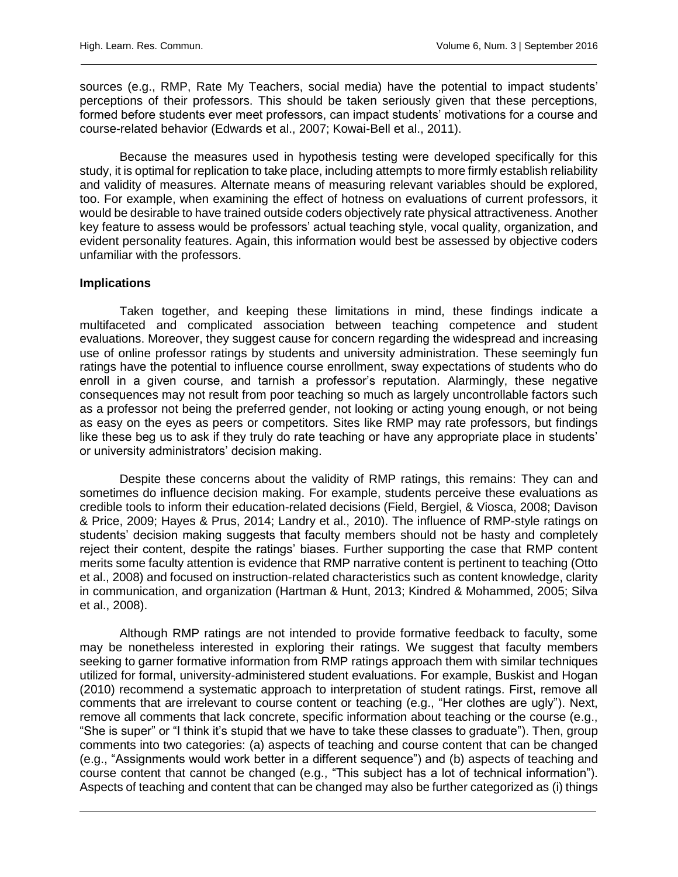sources (e.g., RMP, Rate My Teachers, social media) have the potential to impact students' perceptions of their professors. This should be taken seriously given that these perceptions, formed before students ever meet professors, can impact students' motivations for a course and course-related behavior (Edwards et al., 2007; Kowai-Bell et al., 2011).

Because the measures used in hypothesis testing were developed specifically for this study, it is optimal for replication to take place, including attempts to more firmly establish reliability and validity of measures. Alternate means of measuring relevant variables should be explored, too. For example, when examining the effect of hotness on evaluations of current professors, it would be desirable to have trained outside coders objectively rate physical attractiveness. Another key feature to assess would be professors' actual teaching style, vocal quality, organization, and evident personality features. Again, this information would best be assessed by objective coders unfamiliar with the professors.

#### **Implications**

Taken together, and keeping these limitations in mind, these findings indicate a multifaceted and complicated association between teaching competence and student evaluations. Moreover, they suggest cause for concern regarding the widespread and increasing use of online professor ratings by students and university administration. These seemingly fun ratings have the potential to influence course enrollment, sway expectations of students who do enroll in a given course, and tarnish a professor's reputation. Alarmingly, these negative consequences may not result from poor teaching so much as largely uncontrollable factors such as a professor not being the preferred gender, not looking or acting young enough, or not being as easy on the eyes as peers or competitors. Sites like RMP may rate professors, but findings like these beg us to ask if they truly do rate teaching or have any appropriate place in students' or university administrators' decision making.

Despite these concerns about the validity of RMP ratings, this remains: They can and sometimes do influence decision making. For example, students perceive these evaluations as credible tools to inform their education-related decisions (Field, Bergiel, & Viosca, 2008; Davison & Price, 2009; Hayes & Prus, 2014; Landry et al., 2010). The influence of RMP-style ratings on students' decision making suggests that faculty members should not be hasty and completely reject their content, despite the ratings' biases. Further supporting the case that RMP content merits some faculty attention is evidence that RMP narrative content is pertinent to teaching (Otto et al., 2008) and focused on instruction-related characteristics such as content knowledge, clarity in communication, and organization (Hartman & Hunt, 2013; Kindred & Mohammed, 2005; Silva et al., 2008).

Although RMP ratings are not intended to provide formative feedback to faculty, some may be nonetheless interested in exploring their ratings. We suggest that faculty members seeking to garner formative information from RMP ratings approach them with similar techniques utilized for formal, university-administered student evaluations. For example, Buskist and Hogan (2010) recommend a systematic approach to interpretation of student ratings. First, remove all comments that are irrelevant to course content or teaching (e.g., "Her clothes are ugly"). Next, remove all comments that lack concrete, specific information about teaching or the course (e.g., "She is super" or "I think it's stupid that we have to take these classes to graduate"). Then, group comments into two categories: (a) aspects of teaching and course content that can be changed (e.g., "Assignments would work better in a different sequence") and (b) aspects of teaching and course content that cannot be changed (e.g., "This subject has a lot of technical information"). Aspects of teaching and content that can be changed may also be further categorized as (i) things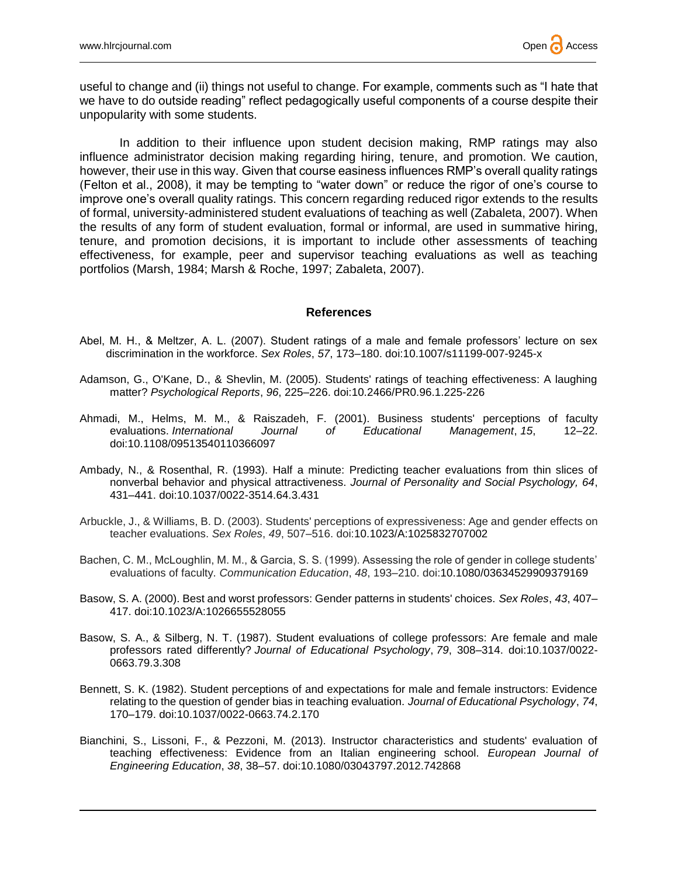useful to change and (ii) things not useful to change. For example, comments such as "I hate that we have to do outside reading" reflect pedagogically useful components of a course despite their unpopularity with some students.

In addition to their influence upon student decision making, RMP ratings may also influence administrator decision making regarding hiring, tenure, and promotion. We caution, however, their use in this way. Given that course easiness influences RMP's overall quality ratings (Felton et al., 2008), it may be tempting to "water down" or reduce the rigor of one's course to improve one's overall quality ratings. This concern regarding reduced rigor extends to the results of formal, university-administered student evaluations of teaching as well (Zabaleta, 2007). When the results of any form of student evaluation, formal or informal, are used in summative hiring, tenure, and promotion decisions, it is important to include other assessments of teaching effectiveness, for example, peer and supervisor teaching evaluations as well as teaching portfolios (Marsh, 1984; Marsh & Roche, 1997; Zabaleta, 2007).

#### **References**

- Abel, M. H., & Meltzer, A. L. (2007). Student ratings of a male and female professors' lecture on sex discrimination in the workforce. *Sex Roles*, *57*, 173–180. [doi:10.1007/s11199-007-9245-x](http://doi.org/10.1007/s11199-007-9245-x)
- Adamson, G., O'Kane, D., & Shevlin, M. (2005). Students' ratings of teaching effectiveness: A laughing matter? *Psychological Reports*, *96*, 225–226. doi:10.2466/PR0.96.1.225-226
- Ahmadi, M., Helms, M. M., & Raiszadeh, F. (2001). Business students' perceptions of faculty evaluations. *International Journal of Educational Management*, *15*, 12–22. doi[:10.1108/09513540110366097](http://dx.doi.org/10.1108/09513540110366097)
- Ambady, N., & Rosenthal, R. (1993). Half a minute: Predicting teacher evaluations from thin slices of nonverbal behavior and physical attractiveness. *Journal of Personality and Social Psychology, 64*, 431–441. doi:10.1037/0022-3514.64.3.431
- Arbuckle, J., & Williams, B. D. (2003). Students' perceptions of expressiveness: Age and gender effects on teacher evaluations. *Sex Roles*, *49*, 507–516. doi:10.1023/A:1025832707002
- Bachen, C. M., McLoughlin, M. M., & Garcia, S. S. (1999). Assessing the role of gender in college students' evaluations of faculty. *Communication Education*, *48*, 193–210. doi:10.1080/03634529909379169
- Basow, S. A. (2000). Best and worst professors: Gender patterns in students' choices. *Sex Roles*, *43*, 407– 417. doi:10.1023/A:1026655528055
- Basow, S. A., & Silberg, N. T. (1987). Student evaluations of college professors: Are female and male professors rated differently? *Journal of Educational Psychology*, *79*, 308–314. doi[:10.1037/0022-](http://psycnet.apa.org/doi/10.1037/0022-0663.79.3.308) [0663.79.3.308](http://psycnet.apa.org/doi/10.1037/0022-0663.79.3.308)
- Bennett, S. K. (1982). Student perceptions of and expectations for male and female instructors: Evidence relating to the question of gender bias in teaching evaluation. *Journal of Educational Psychology*, *74*, 170–179. doi[:10.1037/0022-0663.74.2.170](http://psycnet.apa.org/doi/10.1037/0022-0663.74.2.170)
- Bianchini, S., Lissoni, F., & Pezzoni, M. (2013). Instructor characteristics and students' evaluation of teaching effectiveness: Evidence from an Italian engineering school. *European Journal of Engineering Education*, *38*, 38–57. doi:10.1080/03043797.2012.742868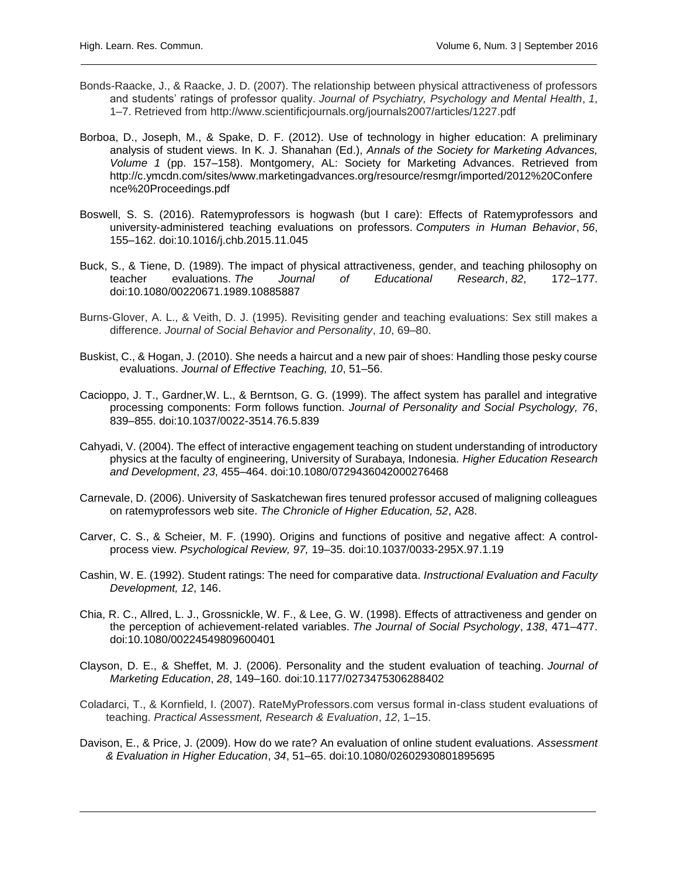- Bonds-Raacke, J., & Raacke, J. D. (2007). The relationship between physical attractiveness of professors and students' ratings of professor quality. *Journal of Psychiatry, Psychology and Mental Health*, *1*, 1–7. Retrieved from http://www.scientificjournals.org/journals2007/articles/1227.pdf
- Borboa, D., Joseph, M., & Spake, D. F. (2012). Use of technology in higher education: A preliminary analysis of student views. In K. J. Shanahan (Ed.), *Annals of the Society for Marketing Advances, Volume 1* (pp. 157–158). Montgomery, AL: Society for Marketing Advances. Retrieved from http://c.ymcdn.com/sites/www.marketingadvances.org/resource/resmgr/imported/2012%20Confere nce%20Proceedings.pdf
- Boswell, S. S. (2016). Ratemyprofessors is hogwash (but I care): Effects of Ratemyprofessors and university-administered teaching evaluations on professors. *Computers in Human Behavior*, *56*, 155–162. doi[:10.1016/j.chb.2015.11.045](http://dx.doi.org/10.1016/j.chb.2015.11.045)
- Buck, S., & Tiene, D. (1989). The impact of physical attractiveness, gender, and teaching philosophy on teacher evaluations. *The Journal of Educational Research*, *82*, 172–177. doi:10.1080/00220671.1989.10885887
- Burns-Glover, A. L., & Veith, D. J. (1995). Revisiting gender and teaching evaluations: Sex still makes a difference. *Journal of Social Behavior and Personality*, *10*, 69–80.
- Buskist, C., & Hogan, J. (2010). She needs a haircut and a new pair of shoes: Handling those pesky course evaluations. *Journal of Effective Teaching, 10*, 51–56.
- Cacioppo, J. T., Gardner,W. L., & Berntson, G. G. (1999). The affect system has parallel and integrative processing components: Form follows function. *Journal of Personality and Social Psychology, 76*, 839–855. doi:10.1037/0022-3514.76.5.839
- Cahyadi, V. (2004). The effect of interactive engagement teaching on student understanding of introductory physics at the faculty of engineering, University of Surabaya, Indonesia. *Higher Education Research and Development*, *23*, 455–464. doi:10.1080/0729436042000276468
- Carnevale, D. (2006). University of Saskatchewan fires tenured professor accused of maligning colleagues on ratemyprofessors web site. *The Chronicle of Higher Education, 52*, A28.
- Carver, C. S., & Scheier, M. F. (1990). Origins and functions of positive and negative affect: A controlprocess view. *Psychological Review, 97,* 19–35. doi:10.1037/0033-295X.97.1.19
- Cashin, W. E. (1992). Student ratings: The need for comparative data. *Instructional Evaluation and Faculty Development, 12*, 146.
- Chia, R. C., Allred, L. J., Grossnickle, W. F., & Lee, G. W. (1998). Effects of attractiveness and gender on the perception of achievement-related variables. *The Journal of Social Psychology*, *138*, 471–477. doi:10.1080/00224549809600401
- Clayson, D. E., & Sheffet, M. J. (2006). Personality and the student evaluation of teaching. *Journal of Marketing Education*, *28*, 149–160. doi:10.1177/0273475306288402
- Coladarci, T., & Kornfield, I. (2007). RateMyProfessors.com versus formal in-class student evaluations of teaching. *Practical Assessment, Research & Evaluation*, *12*, 1–15.
- Davison, E., & Price, J. (2009). How do we rate? An evaluation of online student evaluations. *Assessment & Evaluation in Higher Education*, *34*, 51–65. [doi:10.1080/02602930801895695](http://doi.org/10.1080/02602930801895695)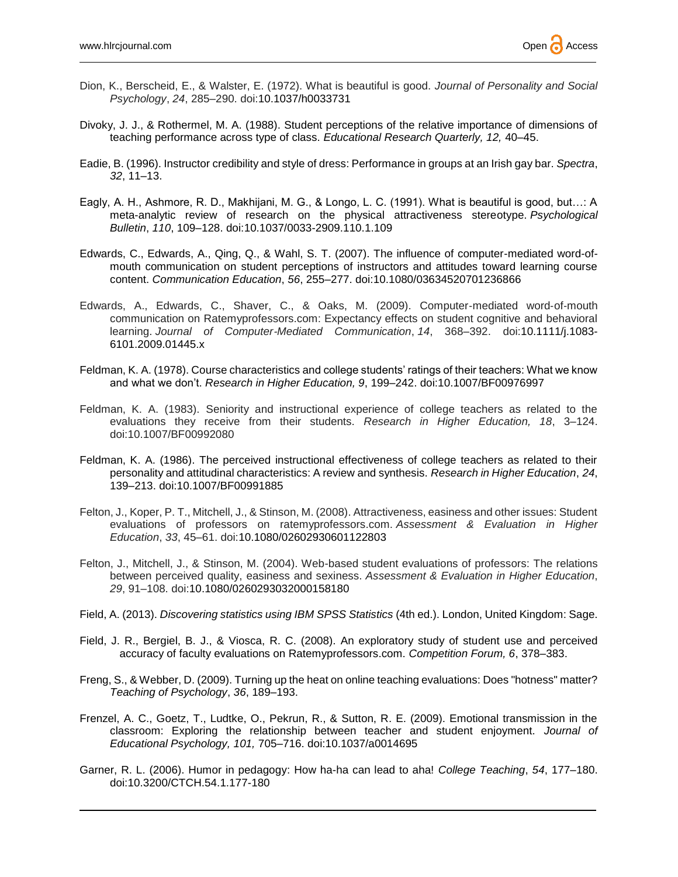- Dion, K., Berscheid, E., & Walster, E. (1972). What is beautiful is good. *Journal of Personality and Social Psychology*, *24*, 285–290. doi[:10.1037/h0033731](http://psycnet.apa.org/doi/10.1037/h0033731)
- Divoky, J. J., & Rothermel, M. A. (1988). Student perceptions of the relative importance of dimensions of teaching performance across type of class. *Educational Research Quarterly, 12,* 40–45.
- Eadie, B. (1996). Instructor credibility and style of dress: Performance in groups at an Irish gay bar. *Spectra*, *32*, 11–13.
- Eagly, A. H., Ashmore, R. D., Makhijani, M. G., & Longo, L. C. (1991). What is beautiful is good, but…: A meta-analytic review of research on the physical attractiveness stereotype. *Psychological Bulletin*, *110*, 109–128. doi[:10.1037/0033-2909.110.1.109](http://psycnet.apa.org/doi/10.1037/0033-2909.110.1.109)
- Edwards, C., Edwards, A., Qing, Q., & Wahl, S. T. (2007). The influence of computer-mediated word-ofmouth communication on student perceptions of instructors and attitudes toward learning course content. *Communication Education*, *56*, 255–277. doi:10.1080/03634520701236866
- Edwards, A., Edwards, C., Shaver, C., & Oaks, M. (2009). Computer‐mediated word‐of‐mouth communication on Ratemyprofessors.com: Expectancy effects on student cognitive and behavioral learning. *Journal of Computer*‐*Mediated Communication*, *14*, 368–392. doi:10.1111/j.1083- 6101.2009.01445.x
- Feldman, K. A. (1978). Course characteristics and college students' ratings of their teachers: What we know and what we don't. *Research in Higher Education, 9*, 199–242. doi:10.1007/BF00976997
- Feldman, K. A. (1983). Seniority and instructional experience of college teachers as related to the evaluations they receive from their students. *Research in Higher Education, 18*, 3–124. doi:10.1007/BF00992080
- Feldman, K. A. (1986). The perceived instructional effectiveness of college teachers as related to their personality and attitudinal characteristics: A review and synthesis. *Research in Higher Education*, *24*, 139–213. doi:10.1007/BF00991885
- Felton, J., Koper, P. T., Mitchell, J., & Stinson, M. (2008). Attractiveness, easiness and other issues: Student evaluations of professors on ratemyprofessors.com. *Assessment & Evaluation in Higher Education*, *33*, 45–61. doi:10.1080/02602930601122803
- Felton, J., Mitchell, J., & Stinson, M. (2004). Web-based student evaluations of professors: The relations between perceived quality, easiness and sexiness. *Assessment & Evaluation in Higher Education*, *29*, 91–108. doi:10.1080/0260293032000158180
- Field, A. (2013). *Discovering statistics using IBM SPSS Statistics* (4th ed.). London, United Kingdom: Sage.
- Field, J. R., Bergiel, B. J., & Viosca, R. C. (2008). An exploratory study of student use and perceived accuracy of faculty evaluations on Ratemyprofessors.com. *Competition Forum, 6*, 378–383.
- Freng, S., & Webber, D. (2009). Turning up the heat on online teaching evaluations: Does "hotness" matter? *Teaching of Psychology*, *36*, 189–193.
- Frenzel, A. C., Goetz, T., Ludtke, O., Pekrun, R., & Sutton, R. E. (2009). Emotional transmission in the classroom: Exploring the relationship between teacher and student enjoyment. *Journal of Educational Psychology, 101,* 705–716. doi:10.1037/a0014695
- Garner, R. L. (2006). Humor in pedagogy: How ha-ha can lead to aha! *College Teaching*, *54*, 177–180. doi:10.3200/CTCH.54.1.177-180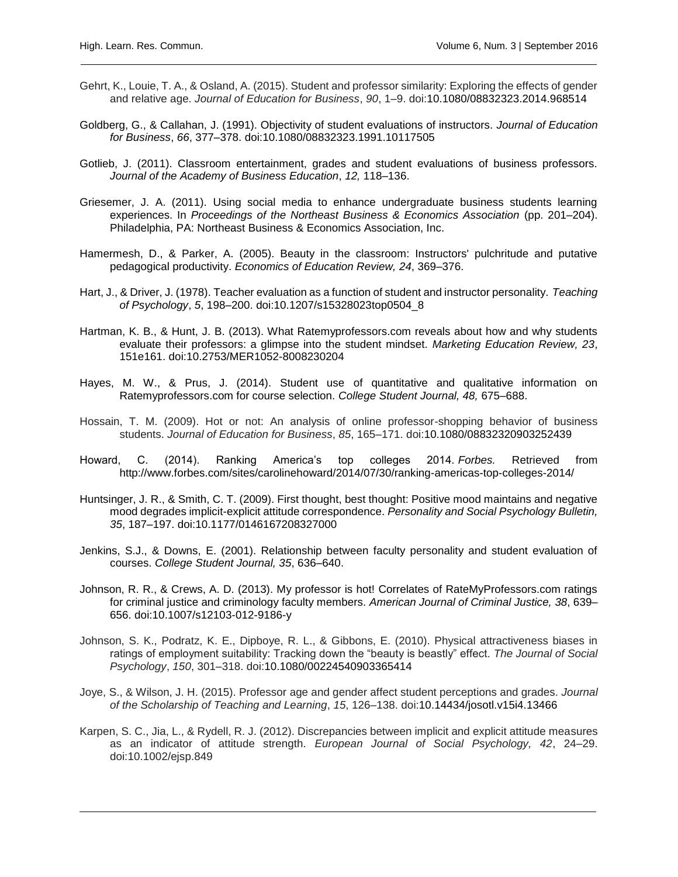- Gehrt, K., Louie, T. A., & Osland, A. (2015). Student and professor similarity: Exploring the effects of gender and relative age. *Journal of Education for Business*, *90*, 1–9. doi:10.1080/08832323.2014.968514
- Goldberg, G., & Callahan, J. (1991). Objectivity of student evaluations of instructors. *Journal of Education for Business*, *66*, 377–378. doi:10.1080/08832323.1991.10117505
- Gotlieb, J. (2011). Classroom entertainment, grades and student evaluations of business professors. *Journal of the Academy of Business Education*, *12,* 118–136.
- Griesemer, J. A. (2011). Using social media to enhance undergraduate business students learning experiences. In *Proceedings of the Northeast Business & Economics Association* (pp. 201–204). Philadelphia, PA: Northeast Business & Economics Association, Inc.
- Hamermesh, D., & Parker, A. (2005). Beauty in the classroom: Instructors' pulchritude and putative pedagogical productivity. *Economics of Education Review, 24*, 369–376.
- Hart, J., & Driver, J. (1978). Teacher evaluation as a function of student and instructor personality. *Teaching of Psychology*, *5*, 198–200. doi:10.1207/s15328023top0504\_8
- Hartman, K. B., & Hunt, J. B. (2013). What Ratemyprofessors.com reveals about how and why students evaluate their professors: a glimpse into the student mindset. *Marketing Education Review, 23*, 151e161. doi:10.2753/MER1052-8008230204
- Hayes, M. W., & Prus, J. (2014). Student use of quantitative and qualitative information on Ratemyprofessors.com for course selection. *College Student Journal, 48,* 675–688.
- Hossain, T. M. (2009). Hot or not: An analysis of online professor-shopping behavior of business students. *Journal of Education for Business*, *85*, 165–171. doi:10.1080/08832320903252439
- Howard, C. (2014). Ranking America's top colleges 2014. *Forbes.* Retrieved from <http://www.forbes.com/sites/carolinehoward/2014/07/30/ranking-americas-top-colleges-2014/>
- Huntsinger, J. R., & Smith, C. T. (2009). First thought, best thought: Positive mood maintains and negative mood degrades implicit-explicit attitude correspondence. *Personality and Social Psychology Bulletin, 35*, 187–197. doi:10.1177/0146167208327000
- Jenkins, S.J., & Downs, E. (2001). Relationship between faculty personality and student evaluation of courses. *College Student Journal, 35*, 636–640.
- Johnson, R. R., & Crews, A. D. (2013). My professor is hot! Correlates of RateMyProfessors.com ratings for criminal justice and criminology faculty members. *American Journal of Criminal Justice, 38*, 639– 656. doi:10.1007/s12103-012-9186-y
- Johnson, S. K., Podratz, K. E., Dipboye, R. L., & Gibbons, E. (2010). Physical attractiveness biases in ratings of employment suitability: Tracking down the "beauty is beastly" effect. *The Journal of Social Psychology*, *150*, 301–318. doi:10.1080/00224540903365414
- Joye, S., & Wilson, J. H. (2015). Professor age and gender affect student perceptions and grades. *Journal of the Scholarship of Teaching and Learning*, *15*, 126–138. doi:10.14434/josotl.v15i4.13466
- Karpen, S. C., Jia, L., & Rydell, R. J. (2012). Discrepancies between implicit and explicit attitude measures as an indicator of attitude strength. *European Journal of Social Psychology, 42*, 24–29. doi:10.1002/ejsp.849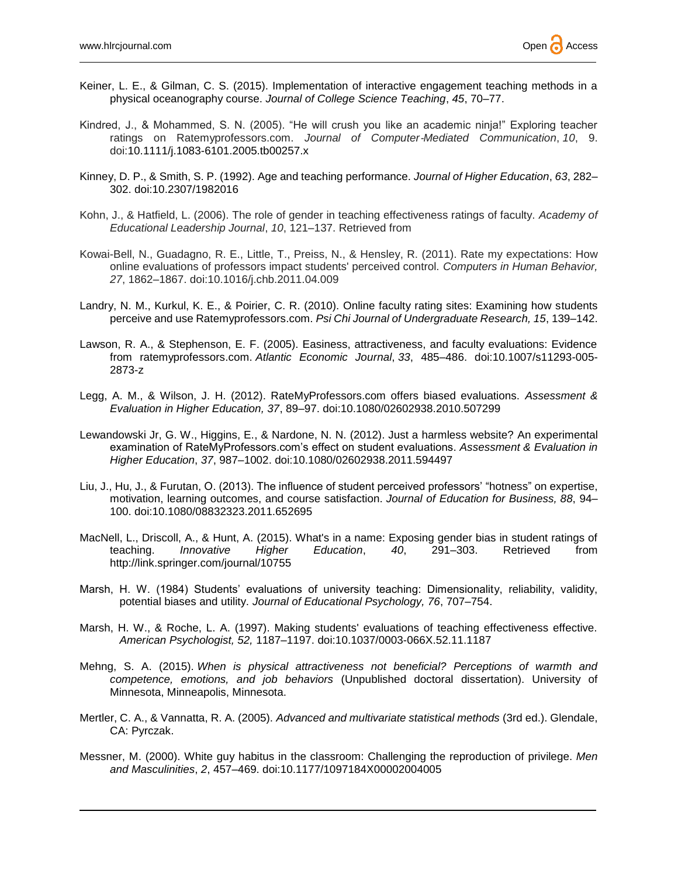- Keiner, L. E., & Gilman, C. S. (2015). Implementation of interactive engagement teaching methods in a physical oceanography course. *Journal of College Science Teaching*, *45*, 70–77.
- Kindred, J., & Mohammed, S. N. (2005). "He will crush you like an academic ninja!" Exploring teacher ratings on Ratemyprofessors.com. *Journal of Computer*‐*Mediated Communication*, *10*, 9. doi:10.1111/j.1083-6101.2005.tb00257.x
- Kinney, D. P., & Smith, S. P. (1992). Age and teaching performance. *Journal of Higher Education*, *63*, 282– 302. doi[:10.2307/1982016](http://dx.doi.org/10.2307/1982016)
- Kohn, J., & Hatfield, L. (2006). The role of gender in teaching effectiveness ratings of faculty. *Academy of Educational Leadership Journal*, *10*, 121–137. Retrieved from
- Kowai-Bell, N., Guadagno, R. E., Little, T., Preiss, N., & Hensley, R. (2011). Rate my expectations: How online evaluations of professors impact students' perceived control. *Computers in Human Behavior, 27*, 1862–1867. doi:10.1016/j.chb.2011.04.009
- Landry, N. M., Kurkul, K. E., & Poirier, C. R. (2010). Online faculty rating sites: Examining how students perceive and use Ratemyprofessors.com. *Psi Chi Journal of Undergraduate Research, 15*, 139–142.
- Lawson, R. A., & Stephenson, E. F. (2005). Easiness, attractiveness, and faculty evaluations: Evidence from ratemyprofessors.com. *Atlantic Economic Journal*, *33*, 485–486. doi:10.1007/s11293-005- 2873-z
- Legg, A. M., & Wilson, J. H. (2012). RateMyProfessors.com offers biased evaluations. *Assessment & Evaluation in Higher Education, 37*, 89–97. doi:10.1080/02602938.2010.507299
- Lewandowski Jr, G. W., Higgins, E., & Nardone, N. N. (2012). Just a harmless website? An experimental examination of RateMyProfessors.com's effect on student evaluations. *Assessment & Evaluation in Higher Education*, *37*, 987–1002. doi:10.1080/02602938.2011.594497
- Liu, J., Hu, J., & Furutan, O. (2013). The influence of student perceived professors' "hotness" on expertise, motivation, learning outcomes, and course satisfaction. *Journal of Education for Business, 88*, 94– 100. doi:10.1080/08832323.2011.652695
- MacNell, L., Driscoll, A., & Hunt, A. (2015). What's in a name: Exposing gender bias in student ratings of teaching. *Innovative Higher Education*, *40*, 291–303. Retrieved from http://link.springer.com/journal/10755
- Marsh, H. W. (1984) Students' evaluations of university teaching: Dimensionality, reliability, validity, potential biases and utility. *Journal of Educational Psychology, 76*, 707–754.
- Marsh, H. W., & Roche, L. A. (1997). Making students' evaluations of teaching effectiveness effective. *American Psychologist, 52,* 1187–1197. doi:10.1037/0003-066X.52.11.1187
- Mehng, S. A. (2015). *When is physical attractiveness not beneficial? Perceptions of warmth and competence, emotions, and job behaviors* (Unpublished doctoral dissertation). University of Minnesota, Minneapolis, Minnesota.
- Mertler, C. A., & Vannatta, R. A. (2005). *Advanced and multivariate statistical methods* (3rd ed.). Glendale, CA: Pyrczak.
- Messner, M. (2000). White guy habitus in the classroom: Challenging the reproduction of privilege. *Men and Masculinities*, *2*, 457–469. doi[:10.1177/1097184X00002004005](http://psycnet.apa.org/doi/10.1177/1097184X00002004005)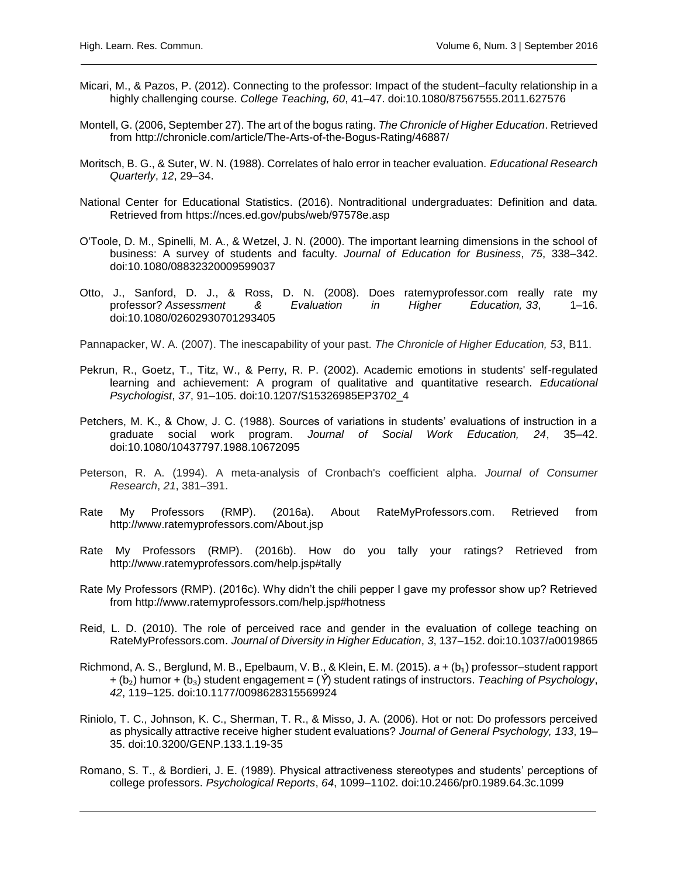- Micari, M., & Pazos, P. (2012). Connecting to the professor: Impact of the student–faculty relationship in a highly challenging course. *College Teaching, 60*, 41–47. doi:10.1080/87567555.2011.627576
- Montell, G. (2006, September 27). The art of the bogus rating. *The Chronicle of Higher Education*. Retrieved from<http://chronicle.com/article/The-Arts-of-the-Bogus-Rating/46887/>
- Moritsch, B. G., & Suter, W. N. (1988). Correlates of halo error in teacher evaluation. *Educational Research Quarterly*, *12*, 29–34.
- National Center for Educational Statistics. (2016). Nontraditional undergraduates: Definition and data. Retrieved from https://nces.ed.gov/pubs/web/97578e.asp
- O'Toole, D. M., Spinelli, M. A., & Wetzel, J. N. (2000). The important learning dimensions in the school of business: A survey of students and faculty. *Journal of Education for Business*, *75*, 338–342. doi:10.1080/08832320009599037
- Otto, J., Sanford, D. J., & Ross, D. N. (2008). Does ratemyprofessor.com really rate my professor? *Assessment & Evaluation in Higher Education, 33*, 1–16. doi:10.1080/02602930701293405

Pannapacker, W. A. (2007). The inescapability of your past. *The Chronicle of Higher Education, 53*, B11.

- Pekrun, R., Goetz, T., Titz, W., & Perry, R. P. (2002). Academic emotions in students' self-regulated learning and achievement: A program of qualitative and quantitative research. *Educational Psychologist*, *37*, 91–105. doi:10.1207/S15326985EP3702\_4
- Petchers, M. K., & Chow, J. C. (1988). Sources of variations in students' evaluations of instruction in a graduate social work program. *Journal of Social Work Education, 24*, 35–42. doi:10.1080/10437797.1988.10672095
- Peterson, R. A. (1994). A meta-analysis of Cronbach's coefficient alpha. *Journal of Consumer Research*, *21*, 381–391.
- Rate My Professors (RMP). (2016a). About RateMyProfessors.com. Retrieved from http://www.ratemyprofessors.com/About.jsp
- Rate My Professors (RMP). (2016b). How do you tally your ratings? Retrieved from http://www.ratemyprofessors.com/help.jsp#tally
- Rate My Professors (RMP). (2016c). Why didn't the chili pepper I gave my professor show up? Retrieved from http://www.ratemyprofessors.com/help.jsp#hotness
- Reid, L. D. (2010). The role of perceived race and gender in the evaluation of college teaching on RateMyProfessors.com. *Journal of Diversity in Higher Education*, *3*, 137–152. doi:10.1037/a0019865
- Richmond, A. S., Berglund, M. B., Epelbaum, V. B., & Klein, E. M. (2015). *a* + (b₁) professor–student rapport + (b₂) humor + (b₃) student engagement = (*Ŷ*) student ratings of instructors. *Teaching of Psychology*, *42*, 119–125. doi:10.1177/0098628315569924
- Riniolo, T. C., Johnson, K. C., Sherman, T. R., & Misso, J. A. (2006). Hot or not: Do professors perceived as physically attractive receive higher student evaluations? *Journal of General Psychology, 133*, 19– 35. doi:10.3200/GENP.133.1.19-35
- Romano, S. T., & Bordieri, J. E. (1989). Physical attractiveness stereotypes and students' perceptions of college professors. *Psychological Reports*, *64*, 1099–1102. doi:10.2466/pr0.1989.64.3c.1099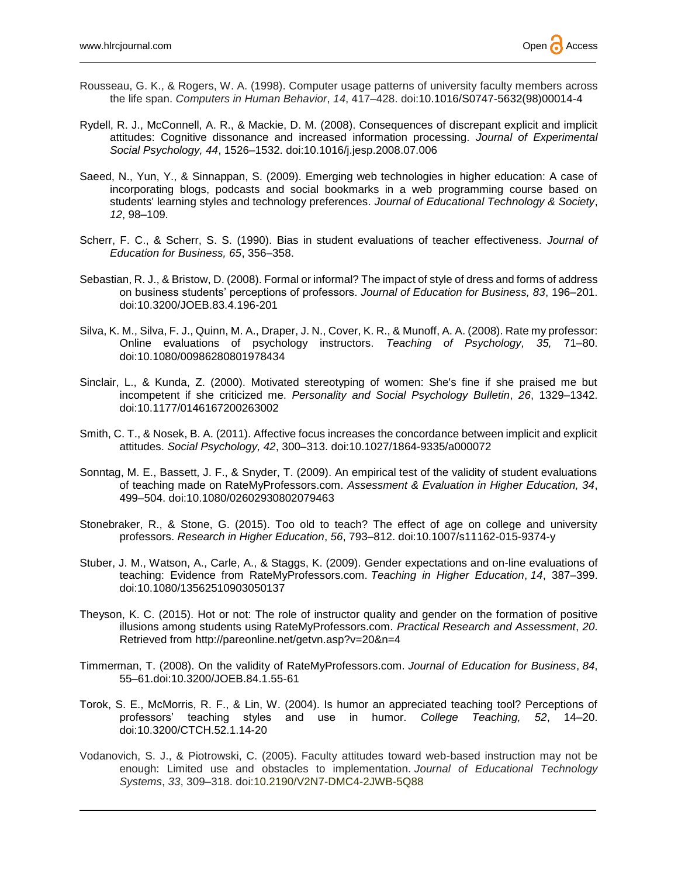- Rousseau, G. K., & Rogers, W. A. (1998). Computer usage patterns of university faculty members across the life span. *Computers in Human Behavior*, *14*, 417–428. doi[:10.1016/S0747-5632\(98\)00014-4](http://dx.doi.org/10.1016/S0747-5632(98)00014-4)
- Rydell, R. J., McConnell, A. R., & Mackie, D. M. (2008). Consequences of discrepant explicit and implicit attitudes: Cognitive dissonance and increased information processing. *Journal of Experimental Social Psychology, 44*, 1526–1532. doi:10.1016/j.jesp.2008.07.006
- Saeed, N., Yun, Y., & Sinnappan, S. (2009). Emerging web technologies in higher education: A case of incorporating blogs, podcasts and social bookmarks in a web programming course based on students' learning styles and technology preferences. *Journal of Educational Technology & Society*, *12*, 98–109.
- Scherr, F. C., & Scherr, S. S. (1990). Bias in student evaluations of teacher effectiveness. *Journal of Education for Business, 65*, 356–358.
- Sebastian, R. J., & Bristow, D. (2008). Formal or informal? The impact of style of dress and forms of address on business students' perceptions of professors. *Journal of Education for Business, 83*, 196–201. doi:10.3200/JOEB.83.4.196-201
- Silva, K. M., Silva, F. J., Quinn, M. A., Draper, J. N., Cover, K. R., & Munoff, A. A. (2008). Rate my professor: Online evaluations of psychology instructors. *Teaching of Psychology, 35,* 71–80. doi:10.1080/00986280801978434
- Sinclair, L., & Kunda, Z. (2000). Motivated stereotyping of women: She's fine if she praised me but incompetent if she criticized me. *Personality and Social Psychology Bulletin*, *26*, 1329–1342. doi:10.1177/0146167200263002
- Smith, C. T., & Nosek, B. A. (2011). Affective focus increases the concordance between implicit and explicit attitudes. *Social Psychology, 42*, 300–313. doi:10.1027/1864-9335/a000072
- Sonntag, M. E., Bassett, J. F., & Snyder, T. (2009). An empirical test of the validity of student evaluations of teaching made on RateMyProfessors.com. *Assessment & Evaluation in Higher Education, 34*, 499–504. doi:10.1080/02602930802079463
- Stonebraker, R., & Stone, G. (2015). Too old to teach? The effect of age on college and university professors. *Research in Higher Education*, *56*, 793–812. doi:10.1007/s11162-015-9374-y
- Stuber, J. M., Watson, A., Carle, A., & Staggs, K. (2009). Gender expectations and on-line evaluations of teaching: Evidence from RateMyProfessors.com. *Teaching in Higher Education*, *14*, 387–399. doi:10.1080/13562510903050137
- Theyson, K. C. (2015). Hot or not: The role of instructor quality and gender on the formation of positive illusions among students using RateMyProfessors.com. *Practical Research and Assessment*, *20*. Retrieved from<http://pareonline.net/getvn.asp?v=20&n=4>
- Timmerman, T. (2008). On the validity of RateMyProfessors.com. *Journal of Education for Business*, *84*, 55–61.doi:10.3200/JOEB.84.1.55-61
- Torok, S. E., McMorris, R. F., & Lin, W. (2004). Is humor an appreciated teaching tool? Perceptions of professors' teaching styles and use in humor. *College Teaching, 52*, 14–20. doi:10.3200/CTCH.52.1.14-20
- Vodanovich, S. J., & Piotrowski, C. (2005). Faculty attitudes toward web-based instruction may not be enough: Limited use and obstacles to implementation. *Journal of Educational Technology Systems*, *33*, 309–318. doi:10.2190/V2N7-DMC4-2JWB-5Q88